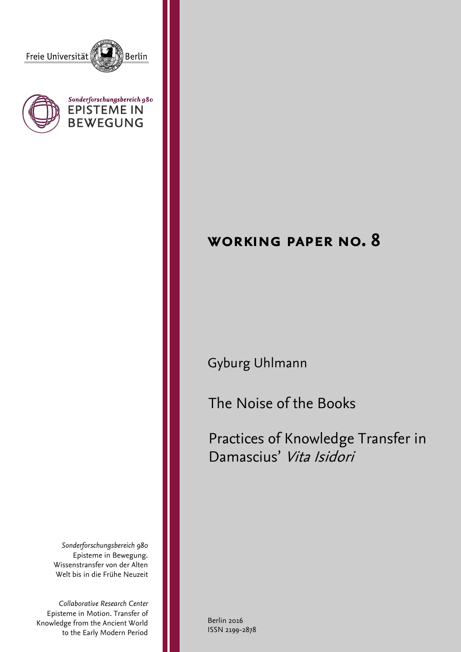





# **working paper no. 8**

# Gyburg Uhlmann

The Noise of the Books

Practices of Knowledge Transfer in Damascius' Vita Isidori

*Sonderforschungsbereich 980* Episteme in Bewegung. Wissenstransfer von der Alten Welt bis in die Frühe Neuzeit

*Collaborative Research Center* Episteme in Motion. Transfer of Knowledge from the Ancient World to the Early Modern Period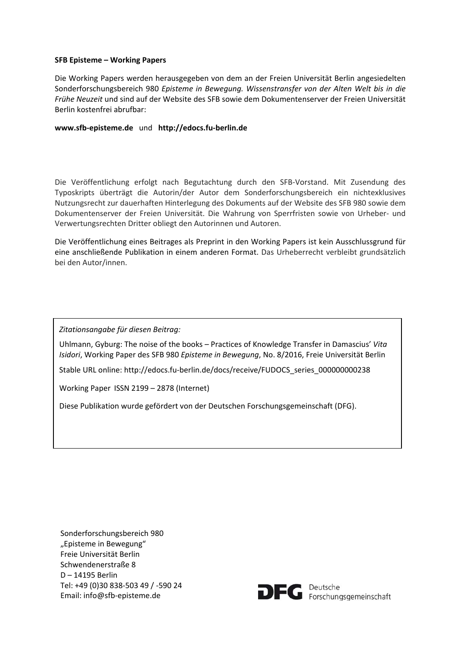#### **SFB Episteme – Working Papers**

Die Working Papers werden herausgegeben von dem an der Freien Universität Berlin angesiedelten Sonderforschungsbereich 980 *Episteme in Bewegung. Wissenstransfer von der Alten Welt bis in die Frühe Neuzeit* und sind auf der Website des SFB sowie dem Dokumentenserver der Freien Universität Berlin kostenfrei abrufbar:

#### **www.sfb‐episteme.de** und **http://edocs.fu‐berlin.de**

Die Veröffentlichung erfolgt nach Begutachtung durch den SFB‐Vorstand. Mit Zusendung des Typoskripts überträgt die Autorin/der Autor dem Sonderforschungsbereich ein nichtexklusives Nutzungsrecht zur dauerhaften Hinterlegung des Dokuments auf der Website des SFB 980 sowie dem Dokumentenserver der Freien Universität. Die Wahrung von Sperrfristen sowie von Urheber‐ und Verwertungsrechten Dritter obliegt den Autorinnen und Autoren.

Die Veröffentlichung eines Beitrages als Preprint in den Working Papers ist kein Ausschlussgrund für eine anschließende Publikation in einem anderen Format. Das Urheberrecht verbleibt grundsätzlich bei den Autor/innen.

*Zitationsangabe für diesen Beitrag:*

Uhlmann, Gyburg: The noise of the books – Practices of Knowledge Transfer in Damascius' *Vita Isidori*, Working Paper des SFB 980 *Episteme in Bewegung*, No. 8/2016, Freie Universität Berlin

Stable URL online: http://edocs.fu-berlin.de/docs/receive/FUDOCS\_series\_000000000238

Working Paper ISSN 2199 – 2878 (Internet)

Diese Publikation wurde gefördert von der Deutschen Forschungsgemeinschaft (DFG).

Sonderforschungsbereich 980 "Episteme in Bewegung" Freie Universität Berlin Schwendenerstraße 8 D – 14195 Berlin Tel: +49 (0)30 838‐503 49 / ‐590 24 Email: info@sfb‐episteme.de

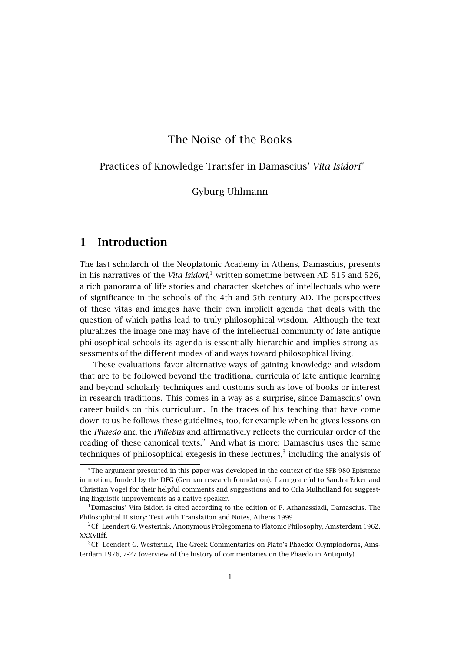### The Noise of the Books

Practices of Knowledge Transfer in Damascius' *Vita Isidori*<sup>∗</sup>

Gyburg Uhlmann

### **1 Introduction**

The last scholarch of the Neoplatonic Academy in Athens, Damascius, presents in his narratives of the *Vita Isidori*,<sup>1</sup> written sometime between AD 515 and 526, a rich panorama of life stories and character sketches of intellectuals who were of significance in the schools of the 4th and 5th century AD. The perspectives of these vitas and images have their own implicit agenda that deals with the question of which paths lead to truly philosophical wisdom. Although the text pluralizes the image one may have of the intellectual community of late antique philosophical schools its agenda is essentially hierarchic and implies strong assessments of the different modes of and ways toward philosophical living.

These evaluations favor alternative ways of gaining knowledge and wisdom that are to be followed beyond the traditional curricula of late antique learning and beyond scholarly techniques and customs such as love of books or interest in research traditions. This comes in a way as a surprise, since Damascius' own career builds on this curriculum. In the traces of his teaching that have come down to us he follows these guidelines, too, for example when he gives lessons on the *Phaedo* and the *Philebus* and affirmatively reflects the curricular order of the reading of these canonical texts.<sup>2</sup> And what is more: Damascius uses the same techniques of philosophical exegesis in these lectures, $3$  including the analysis of

<sup>∗</sup>The argument presented in this paper was developed in the context of the SFB 980 Episteme in motion, funded by the DFG (German research foundation). I am grateful to Sandra Erker and Christian Vogel for their helpful comments and suggestions and to Orla Mulholland for suggesting linguistic improvements as a native speaker.

<sup>&</sup>lt;sup>1</sup>Damascius' Vita Isidori is cited according to the edition of P. Athanassiadi, Damascius. The Philosophical History: Text with Translation and Notes, Athens 1999.

<sup>2</sup>Cf. Leendert G. Westerink, Anonymous Prolegomena to Platonic Philosophy, Amsterdam 1962, XXXVIIff.

<sup>&</sup>lt;sup>3</sup>Cf. Leendert G. Westerink, The Greek Commentaries on Plato's Phaedo: Olympiodorus, Amsterdam 1976, 7-27 (overview of the history of commentaries on the Phaedo in Antiquity).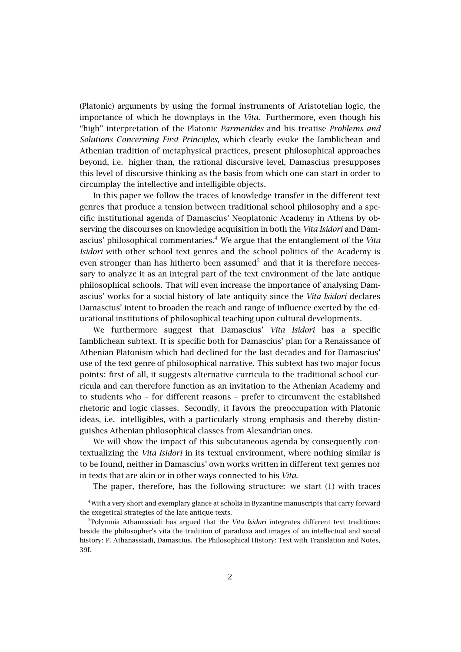(Platonic) arguments by using the formal instruments of Aristotelian logic, the importance of which he downplays in the *Vita*. Furthermore, even though his "high" interpretation of the Platonic *Parmenides* and his treatise *Problems and Solutions Concerning First Principles*, which clearly evoke the Iamblichean and Athenian tradition of metaphysical practices, present philosophical approaches beyond, i.e. higher than, the rational discursive level, Damascius presupposes this level of discursive thinking as the basis from which one can start in order to circumplay the intellective and intelligible objects.

In this paper we follow the traces of knowledge transfer in the different text genres that produce a tension between traditional school philosophy and a specific institutional agenda of Damascius' Neoplatonic Academy in Athens by observing the discourses on knowledge acquisition in both the *Vita Isidori* and Damascius' philosophical commentaries.<sup>4</sup> We argue that the entanglement of the Vita *Isidori* with other school text genres and the school politics of the Academy is even stronger than has hitherto been assumed $5$  and that it is therefore neccessary to analyze it as an integral part of the text environment of the late antique philosophical schools. That will even increase the importance of analysing Damascius' works for a social history of late antiquity since the *Vita Isidori* declares Damascius' intent to broaden the reach and range of influence exerted by the educational institutions of philosophical teaching upon cultural developments.

We furthermore suggest that Damascius' *Vita Isidori* has a specific Iamblichean subtext. It is specific both for Damascius' plan for a Renaissance of Athenian Platonism which had declined for the last decades and for Damascius' use of the text genre of philosophical narrative. This subtext has two major focus points: first of all, it suggests alternative curricula to the traditional school curricula and can therefore function as an invitation to the Athenian Academy and to students who – for different reasons – prefer to circumvent the established rhetoric and logic classes. Secondly, it favors the preoccupation with Platonic ideas, i.e. intelligibles, with a particularly strong emphasis and thereby distinguishes Athenian philosophical classes from Alexandrian ones.

We will show the impact of this subcutaneous agenda by consequently contextualizing the *Vita Isidori* in its textual environment, where nothing similar is to be found, neither in Damascius' own works written in different text genres nor in texts that are akin or in other ways connected to his *Vita*.

The paper, therefore, has the following structure: we start (1) with traces

<sup>4</sup>With a very short and exemplary glance at scholia in Byzantine manuscripts that carry forward the exegetical strategies of the late antique texts.

<sup>5</sup> Polymnia Athanassiadi has argued that the *Vita Isidori* integrates different text traditions: beside the philosopher's vita the tradition of paradoxa and images of an intellectual and social history: P. Athanassiadi, Damascius. The Philosophical History: Text with Translation and Notes, 39f.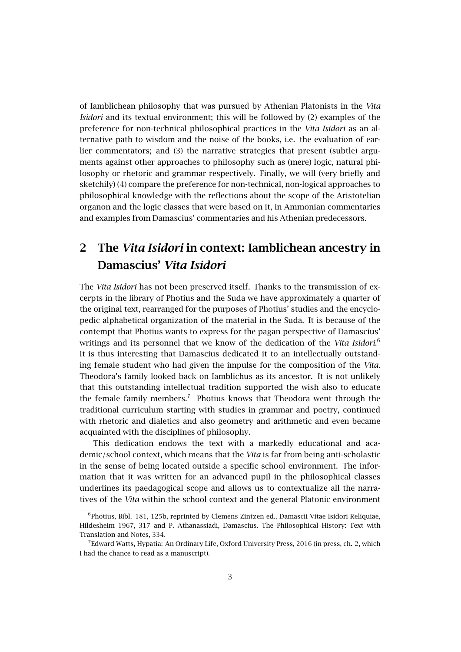of Iamblichean philosophy that was pursued by Athenian Platonists in the *Vita Isidori* and its textual environment; this will be followed by (2) examples of the preference for non-technical philosophical practices in the *Vita Isidori* as an alternative path to wisdom and the noise of the books, i.e. the evaluation of earlier commentators; and (3) the narrative strategies that present (subtle) arguments against other approaches to philosophy such as (mere) logic, natural philosophy or rhetoric and grammar respectively. Finally, we will (very briefly and sketchily) (4) compare the preference for non-technical, non-logical approaches to philosophical knowledge with the reflections about the scope of the Aristotelian organon and the logic classes that were based on it, in Ammonian commentaries and examples from Damascius' commentaries and his Athenian predecessors.

### **2 The** *Vita Isidori* **in context: Iamblichean ancestry in Damascius'** *Vita Isidori*

The *Vita Isidori* has not been preserved itself. Thanks to the transmission of excerpts in the library of Photius and the Suda we have approximately a quarter of the original text, rearranged for the purposes of Photius' studies and the encyclopedic alphabetical organization of the material in the Suda. It is because of the contempt that Photius wants to express for the pagan perspective of Damascius' writings and its personnel that we know of the dedication of the *Vita Isidori*. 6 It is thus interesting that Damascius dedicated it to an intellectually outstanding female student who had given the impulse for the composition of the *Vita*. Theodora's family looked back on Iamblichus as its ancestor. It is not unlikely that this outstanding intellectual tradition supported the wish also to educate the female family members.<sup>7</sup> Photius knows that Theodora went through the traditional curriculum starting with studies in grammar and poetry, continued with rhetoric and dialetics and also geometry and arithmetic and even became acquainted with the disciplines of philosophy.

This dedication endows the text with a markedly educational and academic/school context, which means that the *Vita* is far from being anti-scholastic in the sense of being located outside a specific school environment. The information that it was written for an advanced pupil in the philosophical classes underlines its paedagogical scope and allows us to contextualize all the narratives of the *Vita* within the school context and the general Platonic environment

<sup>&</sup>lt;sup>6</sup>Photius, Bibl. 181, 125b, reprinted by Clemens Zintzen ed., Damascii Vitae Isidori Reliquiae, Hildesheim 1967, 317 and P. Athanassiadi, Damascius. The Philosophical History: Text with Translation and Notes, 334.

 $^{7}$ Edward Watts, Hypatia: An Ordinary Life, Oxford University Press, 2016 (in press, ch. 2, which I had the chance to read as a manuscript).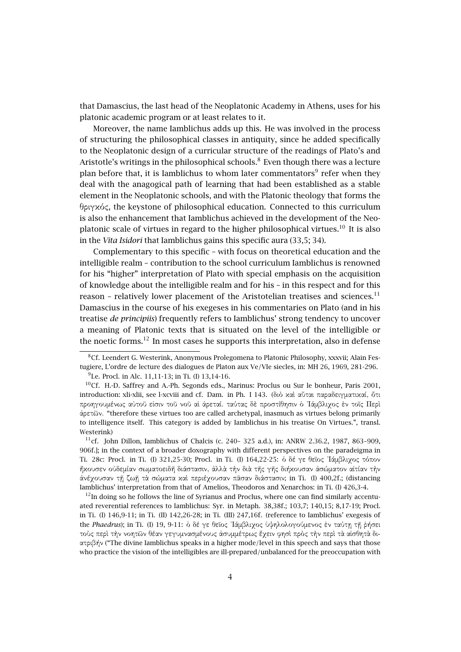that Damascius, the last head of the Neoplatonic Academy in Athens, uses for his platonic academic program or at least relates to it.

Moreover, the name Iamblichus adds up this. He was involved in the process of structuring the philosophical classes in antiquity, since he added specifically to the Neoplatonic design of a curricular structure of the readings of Plato's and Aristotle's writings in the philosophical schools. $^8$  Even though there was a lecture plan before that, it is Iamblichus to whom later commentators<sup>9</sup> refer when they deal with the anagogical path of learning that had been established as a stable element in the Neoplatonic schools, and with the Platonic theology that forms the θριγκός, the keystone of philosophical education. Connected to this curriculum is also the enhancement that Iamblichus achieved in the development of the Neoplatonic scale of virtues in regard to the higher philosophical virtues.<sup>10</sup> It is also in the *Vita Isidori* that Iamblichus gains this specific aura (33,5; 34).

Complementary to this specific – with focus on theoretical education and the intelligible realm – contribution to the school curriculum Iamblichus is renowned for his "higher" interpretation of Plato with special emphasis on the acquisition of knowledge about the intelligible realm and for his – in this respect and for this reason – relatively lower placement of the Aristotelian treatises and sciences.<sup>11</sup> Damascius in the course of his exegeses in his commentaries on Plato (and in his treatise *de principiis*) frequently refers to Iamblichus' strong tendency to uncover a meaning of Platonic texts that is situated on the level of the intelligible or the noetic forms.<sup>12</sup> In most cases he supports this interpretation, also in defense

 $12$ In doing so he follows the line of Syrianus and Proclus, where one can find similarly accentuated reverential references to Iamblichus: Syr. in Metaph. 38,38f.; 103,7; 140,15; 8,17-19; Procl. in Ti. (I) 146,9-11; in Ti. (II) 142,26-28; in Ti. (III) 247,16f. (reference to Iamblichus' exegesis of the *Phaedrus*); in Ti. (I) 19, 9-11: ὁ δέ γε θεῖος ᾿Ιάµβλιχος ὑψηλολογούµενος ἐν ταύτῃ τῇ ῥήσει τοὺς περὶ τὴν νοητῶν θέαν γεγυµνασµένους ἀσυµµέτρως ἔχειν φησὶ πρὸς τὴν περὶ τὰ αἰσθητὰ διατριβήν ("The divine Iamblichus speaks in a higher mode/level in this speech and says that those who practice the vision of the intelligibles are ill-prepared/unbalanced for the preoccupation with

<sup>&</sup>lt;sup>8</sup>Cf. Leendert G. Westerink, Anonymous Prolegomena to Platonic Philosophy, xxxvii; Alain Festugiere, L'ordre de lecture des dialogues de Platon aux Ve/VIe siecles, in: MH 26, 1969, 281-296.

<sup>&</sup>lt;sup>9</sup>I.e. Procl. in Alc. 11,11-13; in Ti. (I) 13,14-16.

<sup>10</sup>Cf. H.-D. Saffrey and A.-Ph. Segonds eds., Marinus: Proclus ou Sur le bonheur, Paris 2001, introduction: xli-xlii, see l-xcviii and cf. Dam. in Ph. I 143. (διὸ καὶ αὗται παραδειγµατικαί, ὅτι προηγουµένως αὐτοῦ εἰσιν τοῦ νοῦ αἱ ἀρεταί. ταύτας δὲ προστίθησιν ὁ ᾿Ιάµβλιχος ἐν τοῖς Περὶ ἀρετῶν. "therefore these virtues too are called archetypal, inasmuch as virtues belong primarily to intelligence itself. This category is added by Iamblichus in his treatise On Virtues.", transl. Westerink)

<sup>&</sup>lt;sup>11</sup>cf. John Dillon, Iamblichus of Chalcis (c. 240– 325 a.d.), in: ANRW 2.36.2, 1987, 863–909, 906f.]; in the context of a broader doxography with different perspectives on the paradeigma in Ti. 28c: Procl. in Ti. (I) 321,25-30; Procl. in Ti. (I) 164,22-25: ὁ δέ γε θεῖος ᾿Ιάµβλιχος τόπον ἤκουσεν οὐδεµίαν σωµατοειδῆ διάστασιν, ἀλλὰ τὴν διὰ τῆς γῆς διήκουσαν ἀσώµατον αἰτίαν τὴν ἀνέχουσαν τῇ ζωῇ τὰ σώµατα καὶ περιέχουσαν πᾶσαν διάστασιν; in Ti. (I) 400,2f.; (distancing Iamblichus' interpretation from that of Amelios, Theodoros and Xenarchos: in Ti. (I) 426,3-4.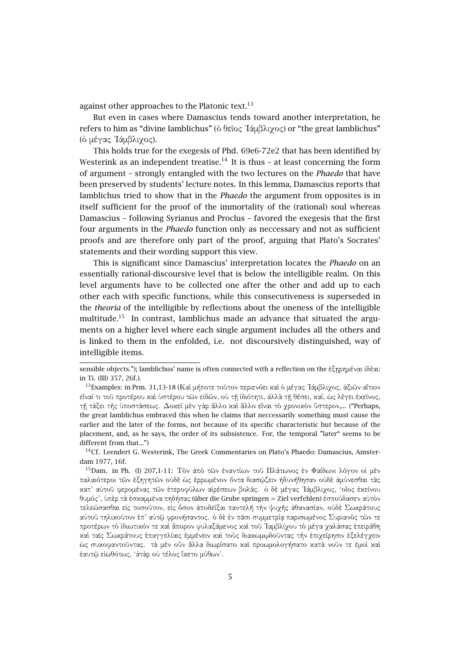against other approaches to the Platonic text. $^{13}$ 

But even in cases where Damascius tends toward another interpretation, he refers to him as "divine Iamblichus" (ὁ θεῖος ᾿Ιάµβλιχος) or "the great Iamblichus" (ὁ µέγας ᾿Ιάµβλιχος).

This holds true for the exegesis of Phd. 69e6-72e2 that has been identified by Westerink as an independent treatise.<sup>14</sup> It is thus - at least concerning the form of argument – strongly entangled with the two lectures on the *Phaedo* that have been preserved by students' lecture notes. In this lemma, Damascius reports that Iamblichus tried to show that in the *Phaedo* the argument from opposites is in itself sufficient for the proof of the immortality of the (rational) soul whereas Damascius – following Syrianus and Proclus – favored the exegesis that the first four arguments in the *Phaedo* function only as neccessary and not as sufficient proofs and are therefore only part of the proof, arguing that Plato's Socrates' statements and their wording support this view.

This is significant since Damascius' interpretation locates the *Phaedo* on an essentially rational-discoursive level that is below the intelligible realm. On this level arguments have to be collected one after the other and add up to each other each with specific functions, while this consecutiveness is superseded in the *theoria* of the intelligible by reflections about the oneness of the intelligible multitude.<sup>15</sup> In contrast, Iamblichus made an advance that situated the arguments on a higher level where each single argument includes all the others and is linked to them in the enfolded, i.e. not discoursively distinguished, way of intelligible items.

sensible objects."); Iamblichus' name is often connected with a reflection on the ἐξῃρηµέναι ἰδέαι: in Ti. (III) 357, 26f.).

 $^{13}$ Examples: in Prm. 31,13-18 (Καὶ μήποτε τοῦτον περιενόει καὶ ὁ μέγας Ἰάμβλιγος, ἀξιῶν αἴτιον εἶναί τι τοῦ προτέρου καὶ ὑστέρου τῶν εἰδῶν, οὐ τῇ ἰδιότητι, ἀλλὰ τῇ θέσει, καί, ὡς λέγει ἐκεῖνος, τῇ τάξει τῆς ὑποστάσεως. ∆οκεῖ µὲν γὰρ ἄλλο καὶ ἄλλο εἶναι τὸ χρονικὸν ὕστερον,... ("Perhaps, the great Iamblichus embraced this when he claims that neccessarily something must cause the earlier and the later of the forms, not because of its specific characteristic but because of the placement, and, as he says, the order of its subsistence. For, the temporal "later" seems to be different from that...")

<sup>&</sup>lt;sup>14</sup>Cf. Leendert G. Westerink, The Greek Commentaries on Plato's Phaedo: Damascius, Amsterdam 1977, 16f.

<sup>15</sup>Dam. in Ph. (I) 207,1-11: Τὸν ἀπὸ τῶν ἐναντίων τοῦ Πλάτωνος ἐν Φαίδωνι λόγον οἱ µὲν παλαιότεροι τῶν ἐξηγητῶν οὐδὲ ὡς ἐρρωµένον ὄντα διασῴζειν ἠδυνήθησαν οὐδὲ ἀµύνεσθαι τὰς κατ' αὐτοῦ φεροµένας τῶν ἑτεροφύλων αἱρέσεων βολάς. ὁ δὲ µέγας ᾿Ιάµβλιχος, 'οἷος ἐκείνου θυµός', ὑπὲρ τὰ ἐσκαµµένα πηδήσας (über die Grube springen = Ziel verfehlen) ἐσπούδασεν αὐτὸν τελεώσασθαι εἰς τοσοῦτον, εἰς ὅσον ἀποδεῖξαι παντελῆ τὴν ψυχῆς ἀθανασίαν, οὐδὲ Σωκράτους αὐτοῦ τηλικοῦτον ἐπ' αὐτῷ φρονήσαντος. ὁ δὲ ἐν πᾶσι συµµετρίᾳ παρισωµένος Συριανὸς τῶν τε προτέρων τὸ ἰδιωτικόν τε καὶ ἄπορον φυλαξάµενος καὶ τοῦ ᾿Ιαµβλίχου τὸ µέγα χαλάσας ἐπειράθη καὶ ταῖς Σωκράτους ἐπαγγελίαις ἐµµένειν καὶ τοὺς διακωµῳδοῦντας τὴν ἐπιχείρησιν ἐξελέγχειν ὡς συκοφαντοῦντας. τὰ µὲν οὖν ἄλλα διωρίσατο καὶ προωµολογήσατο κατὰ νοῦν τε ἐµοὶ καὶ ἑαυτῷ εἰωθότως, 'ἀτὰρ οὐ τέλος ἵκετο µύθων'.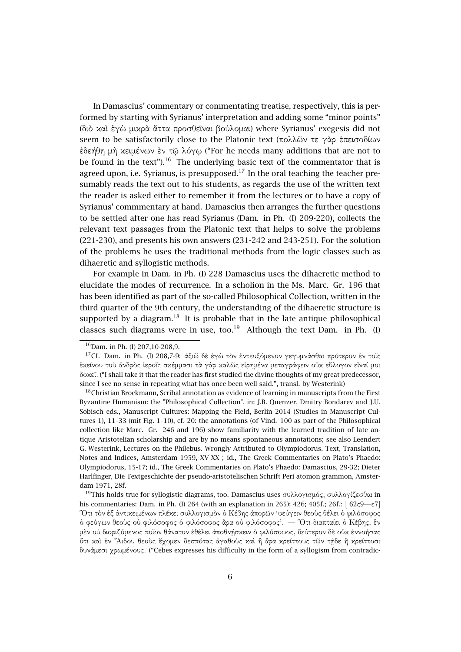In Damascius' commentary or commentating treatise, respectively, this is performed by starting with Syrianus' interpretation and adding some "minor points" (διὸ καὶ ἐγὼ µικρὰ ἄττα προσθεῖναι βούλοµαι) where Syrianus' exegesis did not seem to be satisfactorily close to the Platonic text (πολλῶν τε γὰρ ἐπεισοδίων ἐδεήθη µὴ κειµένων ἐν τῷ λόγῳ ("For he needs many additions that are not to be found in the text").<sup>16</sup> The underlying basic text of the commentator that is agreed upon, i.e. Syrianus, is presupposed.<sup>17</sup> In the oral teaching the teacher presumably reads the text out to his students, as regards the use of the written text the reader is asked either to remember it from the lectures or to have a copy of Syrianus' commmentary at hand. Damascius then arranges the further questions to be settled after one has read Syrianus (Dam. in Ph. (I) 209-220), collects the relevant text passages from the Platonic text that helps to solve the problems (221-230), and presents his own answers (231-242 and 243-251). For the solution of the problems he uses the traditional methods from the logic classes such as dihaeretic and syllogistic methods.

For example in Dam. in Ph. (I) 228 Damascius uses the dihaeretic method to elucidate the modes of recurrence. In a scholion in the Ms. Marc. Gr. 196 that has been identified as part of the so-called Philosophical Collection, written in the third quarter of the 9th century, the understanding of the dihaeretic structure is supported by a diagram.<sup>18</sup> It is probable that in the late antique philosophical classes such diagrams were in use, too.<sup>19</sup> Although the text Dam. in Ph.  $(I)$ 

<sup>&</sup>lt;sup>16</sup>Dam. in Ph. (I) 207,10-208,9.

<sup>17</sup>Cf. Dam. in Ph. (I) 208,7-9: ἀξιῶ δὲ ἐγὼ τὸν ἐντευξόµενον γεγυµνάσθαι πρότερον ἐν τοῖς ἐκείνου τοῦ ἀνδρὸς ἱεροῖς σκέµµασι τὰ γὰρ καλῶς εἰρηµένα µεταγράφειν οὐκ εὔλογον εἶναί µοι δοκεῖ. ("I shall take it that the reader has first studied the divine thoughts of my great predecessor, since I see no sense in repeating what has once been well said.", transl. by Westerink)

 $18$ Christian Brockmann, Scribal annotation as evidence of learning in manuscripts from the First Byzantine Humanism: the "Philosophical Collection", in: J.B. Quenzer, Dmitry Bondarev and J.U. Sobisch eds., Manuscript Cultures: Mapping the Field, Berlin 2014 (Studies in Manuscript Cultures 1), 11–33 (mit Fig. 1–10), cf. 20: the annotations (of Vind. 100 as part of the Philosophical collection like Marc. Gr. 246 and 196) show familiarity with the learned tradition of late antique Aristotelian scholarship and are by no means spontaneous annotations; see also Leendert G. Westerink, Lectures on the Philebus. Wrongly Attributed to Olympiodorus. Text, Translation, Notes and Indices, Amsterdam 1959, XV-XX ; id., The Greek Commentaries on Plato's Phaedo: Olympiodorus, 15-17; id., The Greek Commentaries on Plato's Phaedo: Damascius, 29-32; Dieter Harlfinger, Die Textgeschichte der pseudo-aristotelischen Schrift Peri atomon grammon, Amsterdam 1971, 28f.

<sup>&</sup>lt;sup>19</sup>This holds true for syllogistic diagrams, too. Damascius uses συλλογισμός, συλλογίζεσθαι in his commentaries: Dam. in Ph. (I) 264 (with an explanation in 265); 426; 405f.; 26f.: [ $62 \leq 9 - \epsilon 7$ ] ῞Οτι τὸν ἐξ ἀντικειµένων πλέκει συλλογισµὸν ὁ Κέβης ἀπορῶν 'φεύγειν θεοὺς θέλει ὁ φιλόσοφος ὁ φεύγων θεοὺς οὐ φιλόσοφος ὁ φιλόσοφος ἄρα οὐ φιλόσοφος'. — ῞Οτι διαπταίει ὁ Κέβης, ἓν μέν οὐ διοριζόμενος ποῖον θάνατον ἐθέλει ἀποθνήσχειν ὁ φιλόσοφος, δεύτερον δὲ οὐχ ἐννοήσας ὅτι καὶ ἐν ῞Αιδου θεοὺς ἔχοµεν δεσπότας ἀγαθοὺς καὶ ἢ ἄρα κρείττους τῶν τῇδε ἢ κρείττοσι δυνάµεσι χρωµένους. ("Cebes expresses his difficulty in the form of a syllogism from contradic-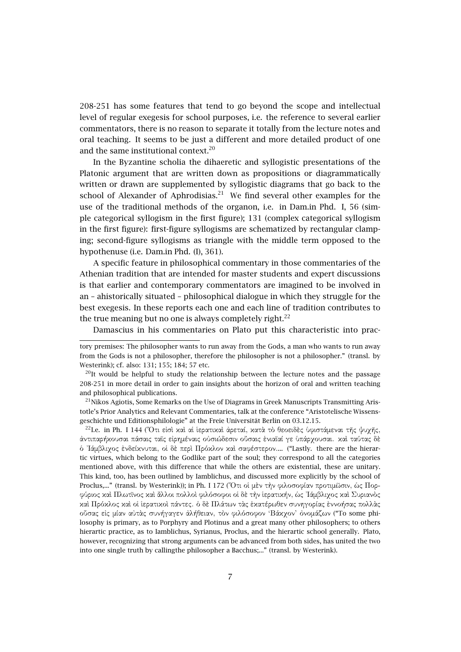208-251 has some features that tend to go beyond the scope and intellectual level of regular exegesis for school purposes, i.e. the reference to several earlier commentators, there is no reason to separate it totally from the lecture notes and oral teaching. It seems to be just a different and more detailed product of one and the same institutional context.<sup>20</sup>

In the Byzantine scholia the dihaeretic and syllogistic presentations of the Platonic argument that are written down as propositions or diagrammatically written or drawn are supplemented by syllogistic diagrams that go back to the school of Alexander of Aphrodisias.<sup>21</sup> We find several other examples for the use of the traditional methods of the organon, i.e. in Dam.in Phd. I, 56 (simple categorical syllogism in the first figure); 131 (complex categorical syllogism in the first figure): first-figure syllogisms are schematized by rectangular clamping; second-figure syllogisms as triangle with the middle term opposed to the hypothenuse (i.e. Dam.in Phd. (I), 361).

A specific feature in philosophical commentary in those commentaries of the Athenian tradition that are intended for master students and expert discussions is that earlier and contemporary commentators are imagined to be involved in an – ahistorically situated – philosophical dialogue in which they struggle for the best exegesis. In these reports each one and each line of tradition contributes to the true meaning but no one is always completely right. $^{22}$ 

Damascius in his commentaries on Plato put this characteristic into prac-

 $^{21}$ Nikos Agiotis, Some Remarks on the Use of Diagrams in Greek Manuscripts Transmitting Aristotle's Prior Analytics and Relevant Commentaries, talk at the conference "Aristotelische Wissensgeschichte und Editionsphilologie" at the Freie Universität Berlin on 03.12.15.

<sup>22</sup>I.e. in Ph. I 144 (Ότι είσὶ καὶ αἱ ἱερατικαὶ ἀρεταί, κατὰ τὸ θεοειδὲς ὑφιστάμεναι τῆς ψυχῆς, ἀντιπαρήκουσαι πάσαις ταῖς εἰρηµέναις οὐσιώδεσιν οὔσαις ἑνιαῖαί γε ὑπάρχουσαι. καὶ ταύτας δὲ ὁ ᾿Ιάµβλιχος ἐνδείκνυται, οἱ δὲ περὶ Πρόκλον καὶ σαφέστερον.... ("Lastly. there are the hierartic virtues, which belong to the Godlike part of the soul; they correspond to all the categories mentioned above, with this difference that while the others are existential, these are unitary. This kind, too, has been outlined by Iamblichus, and discussed more explicitly by the school of Proclus,..." (transl. by Westerink)); in Ph. I 172 (῞Οτι οἱ µὲν τὴν φιλοσοφίαν προτιµῶσιν, ὡς Πορφύριος καὶ Πλωτῖνος καὶ ἄλλοι πολλοὶ φιλόσοφοι οἱ δὲ τὴν ἱερατικήν, ὡς ᾿Ιάµβλιχος καὶ Συριανὸς καὶ Πρόκλος καὶ οἱ ἱερατικοὶ πάντες. ὁ δὲ Πλάτων τὰς ἑκατέρωθεν συνηγορίας ἐννοήσας πολλὰς οὔσας εἰς µίαν αὐτὰς συνήγαγεν ἀλήθειαν, τὸν φιλόσοφον 'Βάκχον' ὀνοµάζων ("To some philosophy is primary, as to Porphyry and Plotinus and a great many other philosophers; to others hierartic practice, as to Iamblichus, Syrianus, Proclus, and the hierartic school generally. Plato, however, recognizing that strong arguments can be advanced from both sides, has united the two into one single truth by callingthe philosopher a Bacchus;..." (transl. by Westerink).

tory premises: The philosopher wants to run away from the Gods, a man who wants to run away from the Gods is not a philosopher, therefore the philosopher is not a philosopher." (transl. by Westerink); cf. also: 131; 155; 184; 57 etc.

 $^{20}$ It would be helpful to study the relationship between the lecture notes and the passage 208-251 in more detail in order to gain insights about the horizon of oral and written teaching and philosophical publications.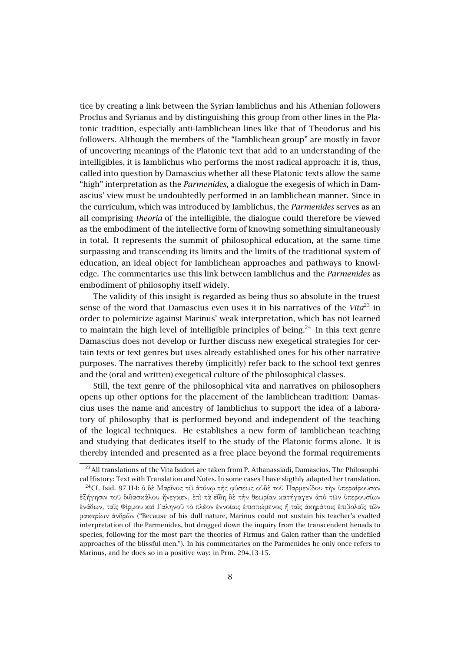tice by creating a link between the Syrian Iamblichus and his Athenian followers Proclus and Syrianus and by distinguishing this group from other lines in the Platonic tradition, especially anti-Iamblichean lines like that of Theodorus and his followers. Although the members of the "Iamblichean group" are mostly in favor of uncovering meanings of the Platonic text that add to an understanding of the intelligibles, it is Iamblichus who performs the most radical approach: it is, thus, called into question by Damascius whether all these Platonic texts allow the same "high" interpretation as the *Parmenides*, a dialogue the exegesis of which in Damascius' view must be undoubtedly performed in an Iamblichean manner. Since in the curriculum, which was introduced by Iamblichus, the *Parmenides* serves as an all comprising *theoria* of the intelligible, the dialogue could therefore be viewed as the embodiment of the intellective form of knowing something simultaneously in total. It represents the summit of philosophical education, at the same time surpassing and transcending its limits and the limits of the traditional system of education, an ideal object for Iamblichean approaches and pathways to knowledge. The commentaries use this link between Iamblichus and the *Parmenides* as embodiment of philosophy itself widely.

The validity of this insight is regarded as being thus so absolute in the truest sense of the word that Damascius even uses it in his narratives of the Vita<sup>23</sup> in order to polemicize against Marinus' weak interpretation, which has not learned to maintain the high level of intelligible principles of being.<sup>24</sup> In this text genre Damascius does not develop or further discuss new exegetical strategies for certain texts or text genres but uses already established ones for his other narrative purposes. The narratives thereby (implicitly) refer back to the school text genres and the (oral and written) exegetical culture of the philosophical classes.

Still, the text genre of the philosophical vita and narratives on philosophers opens up other options for the placement of the Iamblichean tradition: Damascius uses the name and ancestry of Iamblichus to support the idea of a laboratory of philosophy that is performed beyond and independent of the teaching of the logical techniques. He establishes a new form of Iamblichean teaching and studying that dedicates itself to the study of the Platonic forms alone. It is thereby intended and presented as a free place beyond the formal requirements

<sup>&</sup>lt;sup>23</sup> All translations of the Vita Isidori are taken from P. Athanassiadi, Damascius. The Philosophical History: Text with Translation and Notes. In some cases I have sligthly adapted her translation.

<sup>24</sup>Cf. Isid. 97 H-I: ὁ δὲ Μαρῖνος τῷ ἀτόνῳ τῆς φύσεως οὐδὲ τοῦ Παρµενίδου τὴν ὑπεραίρουσαν ἐξήγησιν τοῦ διδασκάλου ἤνεγκεν, ἐπὶ τὰ εἴδη δὲ τὴν θεωρίαν κατήγαγεν ἀπὸ τῶν ὑπερουσίων ἑνάδων, ταῖς Φίρµου καὶ Γαληνοῦ τὸ πλέον ἐννοίαις ἐπισπώµενος ἢ ταῖς ἀκηράτοις ἐπιβολαῖς τῶν µακαρίων ἀνδρῶν ("Because of his dull nature, Marinus could not sustain his teacher's exalted interpretation of the Parmenides, but dragged down the inquiry from the transcendent henads to species, following for the most part the theories of Firmus and Galen rather than the undefiled approaches of the blissful men."). In his commentaries on the Parmenides he only once refers to Marinus, and he does so in a positive way: in Prm. 294,13-15.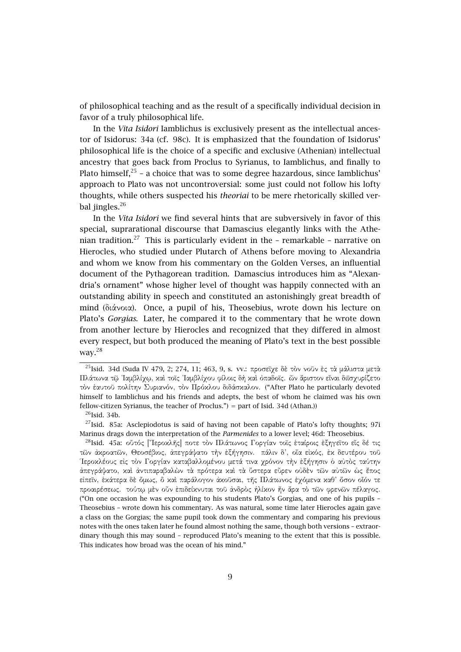of philosophical teaching and as the result of a specifically individual decision in favor of a truly philosophical life.

In the *Vita Isidori* Iamblichus is exclusively present as the intellectual ancestor of Isidorus: 34a (cf. 98c). It is emphasized that the foundation of Isidorus' philosophical life is the choice of a specific and exclusive (Athenian) intellectual ancestry that goes back from Proclus to Syrianus, to Iamblichus, and finally to Plato himself, $^{25}$  - a choice that was to some degree hazardous, since Iamblichus' approach to Plato was not uncontroversial: some just could not follow his lofty thoughts, while others suspected his *theoriai* to be mere rhetorically skilled verbal jingles.<sup>26</sup>

In the *Vita Isidori* we find several hints that are subversively in favor of this special, suprarational discourse that Damascius elegantly links with the Athenian tradition.<sup>27</sup> This is particularly evident in the  $-$  remarkable  $-$  narrative on Hierocles, who studied under Plutarch of Athens before moving to Alexandria and whom we know from his commentary on the Golden Verses, an influential document of the Pythagorean tradition. Damascius introduces him as "Alexandria's ornament" whose higher level of thought was happily connected with an outstanding ability in speech and constituted an astonishingly great breadth of mind (διάνοια). Once, a pupil of his, Theosebius, wrote down his lecture on Plato's *Gorgias*. Later, he compared it to the commentary that he wrote down from another lecture by Hierocles and recognized that they differed in almost every respect, but both produced the meaning of Plato's text in the best possible way.<sup>28</sup>

<sup>25</sup>Isid. 34d (Suda IV 479, 2; 274, 11; 463, 9, s. vv.: προσεῖχε δὲ τὸν νοῦν ἐς τὰ µάλιστα µετὰ Πλάτωνα τῷ ᾿Ιαµβλίχῳ, καὶ τοῖς ᾿Ιαµβλίχου φίλοις δὴ καὶ ὀπαδοῖς. ὧν ἄριστον εἶναι διϊσχυρίζετο τὸν ἑαυτοῦ πολίτην Συριανόν, τὸν Πρόκλου διδάσκαλον. ("After Plato he particularly devoted himself to Iamblichus and his friends and adepts, the best of whom he claimed was his own fellow-citizen Syrianus, the teacher of Proclus.") = part of Isid. 34d (Athan.))

 $^{26}$ Isid. 34b.

 $^{27}$ Isid. 85a: Asclepiodotus is said of having not been capable of Plato's lofty thoughts; 97i Marinus drags down the interpretation of the *Parmenides* to a lower level; 46d: Theosebius.

<sup>&</sup>lt;sup>28</sup>Isid. 45a: οΰτός ['Ίεροχλῆς] ποτε τὸν Πλάτωνος Γοργίαν τοῖς ἑταίροις ἐξηγεῖτο εἶς δέ τις τῶν ἀκροατῶν, Θεοσέβιος, ἀπεγράψατο τὴν ἐξήγησιν. πάλιν δ', οἷα εἰκός, ἐκ δευτέρου τοῦ ῾Ιεροκλέους εἰς τὸν Γοργίαν καταβαλλοµένου µετά τινα χρόνον τὴν ἐξήγησιν ὁ αὐτὸς ταύτην ἀπεγράψατο, καὶ ἀντιπαραβαλὼν τὰ πρότερα καὶ τὰ ὕστερα εὗρεν οὐδὲν τῶν αὐτῶν ὡς ἔπος εἰπεῖν, ἑκάτερα δὲ ὅµως, ὃ καὶ παράλογον ἀκοῦσαι, τῆς Πλάτωνος ἐχόµενα καθ' ὅσον οἷόν τε προαιρέσεως. τούτῳ µὲν οὖν ἐπιδείκνυται τοῦ ἀνδρὸς ἡλίκον ἦν ἄρα τὸ τῶν φρενῶν πέλαγος. ("On one occasion he was expounding to his students Plato's Gorgias, and one of his pupils – Theosebius – wrote down his commentary. As was natural, some time later Hierocles again gave a class on the Gorgias; the same pupil took down the commentary and comparing his previous notes with the ones taken later he found almost nothing the same, though both versions – extraordinary though this may sound – reproduced Plato's meaning to the extent that this is possible. This indicates how broad was the ocean of his mind."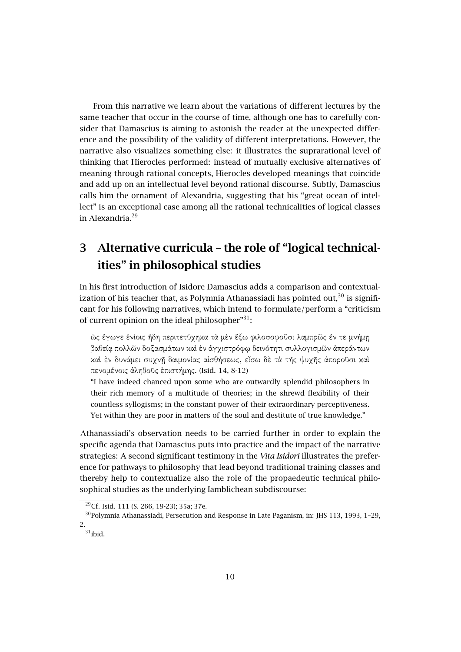From this narrative we learn about the variations of different lectures by the same teacher that occur in the course of time, although one has to carefully consider that Damascius is aiming to astonish the reader at the unexpected difference and the possibility of the validity of different interpretations. However, the narrative also visualizes something else: it illustrates the suprarational level of thinking that Hierocles performed: instead of mutually exclusive alternatives of meaning through rational concepts, Hierocles developed meanings that coincide and add up on an intellectual level beyond rational discourse. Subtly, Damascius calls him the ornament of Alexandria, suggesting that his "great ocean of intellect" is an exceptional case among all the rational technicalities of logical classes in Alexandria.<sup>29</sup>

# **3 Alternative curricula – the role of "logical technicalities" in philosophical studies**

In his first introduction of Isidore Damascius adds a comparison and contextualization of his teacher that, as Polymnia Athanassiadi has pointed out, $30$  is significant for his following narratives, which intend to formulate/perform a "criticism of current opinion on the ideal philosopher $"^{31}$ :

ὡς ἔγωγε ἐνίοις ἤδη περιτετύχηκα τὰ µὲν ἔξω φιλοσοφοῦσι λαµπρῶς ἔν τε µνήµῃ βαθείᾳ πολλῶν δοξασµάτων καὶ ἐν ἀγχιστρόφῳ δεινότητι συλλογισµῶν ἀπεράντων καὶ ἐν δυνάµει συχνῇ δαιµονίας αἰσθήσεως, εἴσω δὲ τὰ τῆς ψυχῆς ἀποροῦσι καὶ πενοµένοις ἀληθοῦς ἐπιστήµης. (Isid. 14, 8-12)

"I have indeed chanced upon some who are outwardly splendid philosophers in their rich memory of a multitude of theories; in the shrewd flexibility of their countless syllogisms; in the constant power of their extraordinary perceptiveness. Yet within they are poor in matters of the soul and destitute of true knowledge."

Athanassiadi's observation needs to be carried further in order to explain the specific agenda that Damascius puts into practice and the impact of the narrative strategies: A second significant testimony in the *Vita Isidori* illustrates the preference for pathways to philosophy that lead beyond traditional training classes and thereby help to contextualize also the role of the propaedeutic technical philosophical studies as the underlying Iamblichean subdiscourse:

<sup>29</sup>Cf. Isid. 111 (S. 266, 19-23); 35a; 37e.

<sup>30</sup>Polymnia Athanassiadi, Persecution and Response in Late Paganism, in: JHS 113, 1993, 1–29, 2.

 $31$ ibid.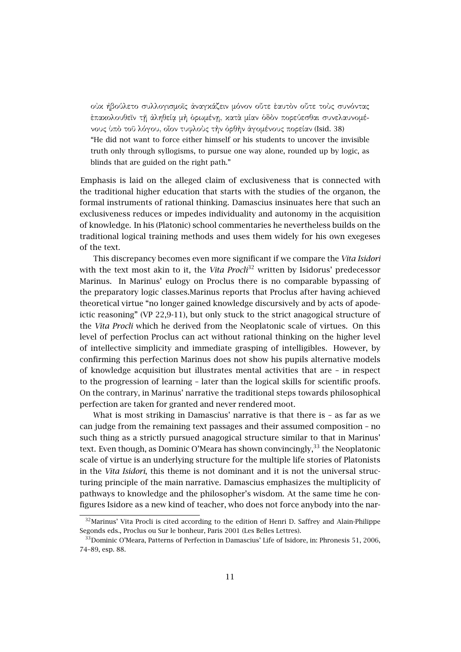οὐκ ἠβούλετο συλλογισµοῖς ἀναγκάζειν µόνον οὔτε ἑαυτὸν οὔτε τοὺς συνόντας ἐπακολουθεῖν τῇ ἀληθείᾳ µὴ ὁρωµένῃ, κατὰ µίαν ὁδὸν πορεύεσθαι συνελαυνοµένους ὑπὸ τοῦ λόγου, οἷον τυφλοὺς τὴν ὀρθὴν ἀγοµένους πορείαν (Isid. 38)

"He did not want to force either himself or his students to uncover the invisible truth only through syllogisms, to pursue one way alone, rounded up by logic, as blinds that are guided on the right path."

Emphasis is laid on the alleged claim of exclusiveness that is connected with the traditional higher education that starts with the studies of the organon, the formal instruments of rational thinking. Damascius insinuates here that such an exclusiveness reduces or impedes individuality and autonomy in the acquisition of knowledge. In his (Platonic) school commentaries he nevertheless builds on the traditional logical training methods and uses them widely for his own exegeses of the text.

This discrepancy becomes even more significant if we compare the *Vita Isidori* with the text most akin to it, the *Vita Procli*<sup>32</sup> written by Isidorus' predecessor Marinus. In Marinus' eulogy on Proclus there is no comparable bypassing of the preparatory logic classes.Marinus reports that Proclus after having achieved theoretical virtue "no longer gained knowledge discursively and by acts of apodeictic reasoning" (VP 22,9-11), but only stuck to the strict anagogical structure of the *Vita Procli* which he derived from the Neoplatonic scale of virtues. On this level of perfection Proclus can act without rational thinking on the higher level of intellective simplicity and immediate grasping of intelligibles. However, by confirming this perfection Marinus does not show his pupils alternative models of knowledge acquisition but illustrates mental activities that are – in respect to the progression of learning – later than the logical skills for scientific proofs. On the contrary, in Marinus' narrative the traditional steps towards philosophical perfection are taken for granted and never rendered moot.

What is most striking in Damascius' narrative is that there is - as far as we can judge from the remaining text passages and their assumed composition – no such thing as a strictly pursued anagogical structure similar to that in Marinus' text. Even though, as Dominic O'Meara has shown convincingly,  $33$  the Neoplatonic scale of virtue is an underlying structure for the multiple life stories of Platonists in the *Vita Isidori*, this theme is not dominant and it is not the universal structuring principle of the main narrative. Damascius emphasizes the multiplicity of pathways to knowledge and the philosopher's wisdom. At the same time he configures Isidore as a new kind of teacher, who does not force anybody into the nar-

<sup>&</sup>lt;sup>32</sup> Marinus' Vita Procli is cited according to the edition of Henri D. Saffrey and Alain-Philippe Segonds eds., Proclus ou Sur le bonheur, Paris 2001 (Les Belles Lettres).

<sup>33</sup>Dominic O'Meara, Patterns of Perfection in Damascius' Life of Isidore, in: Phronesis 51, 2006, 74–89, esp. 88.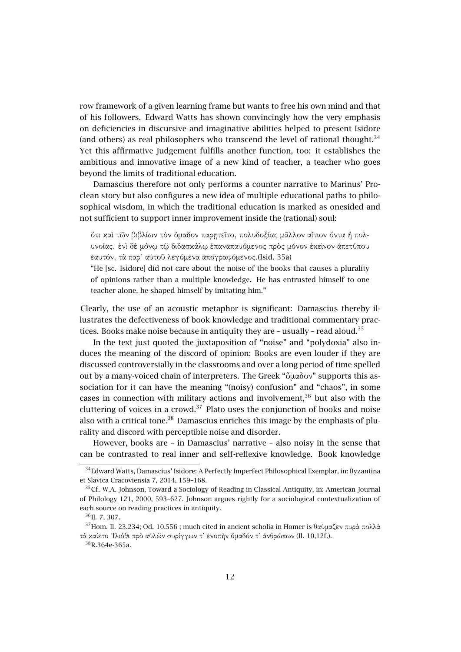row framework of a given learning frame but wants to free his own mind and that of his followers. Edward Watts has shown convincingly how the very emphasis on deficiencies in discursive and imaginative abilities helped to present Isidore (and others) as real philosophers who transcend the level of rational thought.<sup>34</sup> Yet this affirmative judgement fulfills another function, too: it establishes the ambitious and innovative image of a new kind of teacher, a teacher who goes beyond the limits of traditional education.

Damascius therefore not only performs a counter narrative to Marinus' Proclean story but also configures a new idea of multiple educational paths to philosophical wisdom, in which the traditional education is marked as onesided and not sufficient to support inner improvement inside the (rational) soul:

ὅτι καὶ τῶν βιβλίων τὸν ὅµαδον παρῃτεῖτο, πολυδοξίας µᾶλλον αἴτιον ὄντα ἢ πολυνοίας. ἑνὶ δὲ µόνῳ τῷ διδασκάλῳ ἐπαναπαυόµενος πρὸς µόνον ἐκεῖνον ἀπετύπου ἑαυτόν, τὰ παρ' αὐτοῦ λεγόµενα ἀπογραφόµενος.(Isid. 35a)

"He [sc. Isidore] did not care about the noise of the books that causes a plurality of opinions rather than a multiple knowledge. He has entrusted himself to one teacher alone, he shaped himself by imitating him."

Clearly, the use of an acoustic metaphor is significant: Damascius thereby illustrates the defectiveness of book knowledge and traditional commentary practices. Books make noise because in antiquity they are  $-$  usually  $-$  read aloud.<sup>35</sup>

In the text just quoted the juxtaposition of "noise" and "polydoxia" also induces the meaning of the discord of opinion: Books are even louder if they are discussed controversially in the classrooms and over a long period of time spelled out by a many-voiced chain of interpreters. The Greek "ὅµαδον" supports this association for it can have the meaning "(noisy) confusion" and "chaos", in some cases in connection with military actions and involvement, $36$  but also with the cluttering of voices in a crowd. $37$  Plato uses the conjunction of books and noise also with a critical tone.<sup>38</sup> Damascius enriches this image by the emphasis of plurality and discord with perceptible noise and disorder.

However, books are – in Damascius' narrative – also noisy in the sense that can be contrasted to real inner and self-reflexive knowledge. Book knowledge

<sup>38</sup>R.364e-365a.

<sup>34</sup>Edward Watts, Damascius' Isidore: A Perfectly Imperfect Philosophical Exemplar, in: Byzantina et Slavica Cracoviensia 7, 2014, 159–168.

 $35Cf$ . W.A. Johnson, Toward a Sociology of Reading in Classical Antiquity, in: American Journal of Philology 121, 2000, 593–627. Johnson argues rightly for a sociological contextualization of each source on reading practices in antiquity.

<sup>36</sup>Il. 7, 307.

<sup>&</sup>lt;sup>37</sup>Hom. Il. 23.234; Od. 10.556 ; much cited in ancient scholia in Homer is θαύμαζεν πυρὰ πολλὰ τὰ καίετο ᾿Ιλιόθι πρὸ αὐλῶν συρίγγων τ' ἐνοπὴν ὅµαδόν τ' ἀνθρώπων (Il. 10,12f.).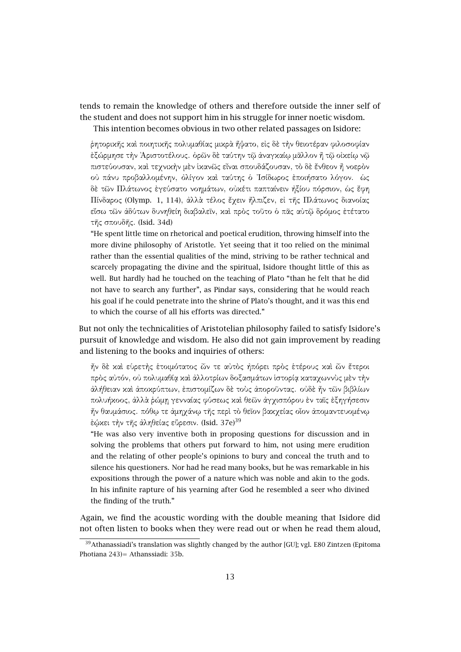tends to remain the knowledge of others and therefore outside the inner self of the student and does not support him in his struggle for inner noetic wisdom.

This intention becomes obvious in two other related passages on Isidore:

ῥητορικῆς καὶ ποιητικῆς πολυµαθίας µικρὰ ἥψατο, εἰς δὲ τὴν θειοτέραν φιλοσοφίαν ἐξώρµησε τὴν ᾿Αριστοτέλους. ὁρῶν δὲ ταύτην τῷ ἀναγκαίῳ µᾶλλον ἢ τῷ οἰκείῳ νῷ πιστεύουσαν, καὶ τεχνικὴν µὲν ἱκανῶς εἶναι σπουδάζουσαν, τὸ δὲ ἔνθεον ἢ νοερὸν οὐ πάνυ προβαλλοµένην, ὀλίγον καὶ ταύτης ὁ ᾿Ισίδωρος ἐποιήσατο λόγον. ὡς δὲ τῶν Πλάτωνος ἐγεύσατο νοηµάτων, οὐκέτι παπταίνειν ἠξίου πόρσιον, ὡς ἔφη Πίνδαρος (Olymp. 1, 114), ἀλλὰ τέλος ἔχειν ἤλπιζεν, εἰ τῆς Πλάτωνος διανοίας εἴσω τῶν ἀδύτων δυνηθείη διαβαλεῖν, καὶ πρὸς τοῦτο ὁ πᾶς αὐτῷ δρόµος ἐτέτατο τῆς σπουδῆς. (Isid. 34d)

"He spent little time on rhetorical and poetical erudition, throwing himself into the more divine philosophy of Aristotle. Yet seeing that it too relied on the minimal rather than the essential qualities of the mind, striving to be rather technical and scarcely propagating the divine and the spiritual, Isidore thought little of this as well. But hardly had he touched on the teaching of Plato "than he felt that he did not have to search any further", as Pindar says, considering that he would reach his goal if he could penetrate into the shrine of Plato's thought, and it was this end to which the course of all his efforts was directed."

But not only the technicalities of Aristotelian philosophy failed to satisfy Isidore's pursuit of knowledge and wisdom. He also did not gain improvement by reading and listening to the books and inquiries of others:

ἦν δὲ καὶ εὑρετὴς ἑτοιµότατος ὧν τε αὐτὸς ἠπόρει πρὸς ἑτέρους καὶ ὧν ἕτεροι πρὸς αὐτόν, οὐ πολυµαθίᾳ καὶ ἀλλοτρίων δοξασµάτων ἱστορίᾳ καταχωννὺς µὲν τὴν ἀλήθειαν καὶ ἀποκρύπτων, ἐπιστοµίζων δὲ τοὺς ἀποροῦντας. οὐδὲ ἦν τῶν βιβλίων πολυήκοος, ἀλλὰ ῥώµῃ γενναίας φύσεως καὶ θεῶν ἀγχισπόρου ἐν ταῖς ἐξηγήσεσιν ἦν θαυµάσιος. πόθῳ τε ἀµηχάνῳ τῆς περὶ τὸ θεῖον βακχείας οἷον ἀποµαντευοµένῳ έώκει τὴν τῆς ἀληθείας εὕρεσιν. (Isid. 37e) $^{39}$ 

"He was also very inventive both in proposing questions for discussion and in solving the problems that others put forward to him, not using mere erudition and the relating of other people's opinions to bury and conceal the truth and to silence his questioners. Nor had he read many books, but he was remarkable in his expositions through the power of a nature which was noble and akin to the gods. In his infinite rapture of his yearning after God he resembled a seer who divined the finding of the truth."

Again, we find the acoustic wording with the double meaning that Isidore did not often listen to books when they were read out or when he read them aloud,

<sup>&</sup>lt;sup>39</sup>Athanassiadi's translation was slightly changed by the author [GU]; vgl. E80 Zintzen (Epitoma Photiana 243)= Athanssiadi: 35b.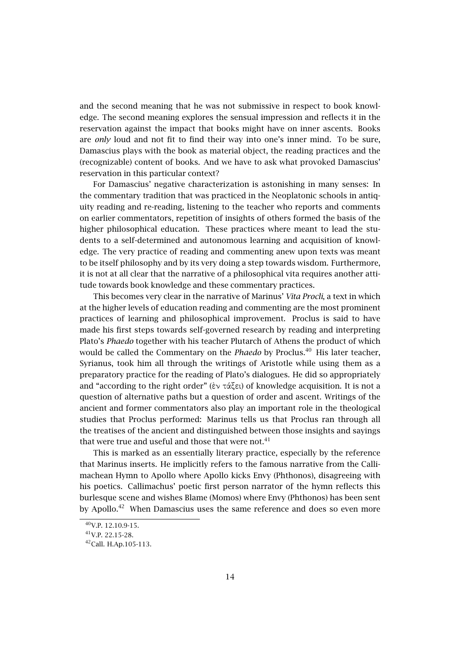and the second meaning that he was not submissive in respect to book knowledge. The second meaning explores the sensual impression and reflects it in the reservation against the impact that books might have on inner ascents. Books are *only* loud and not fit to find their way into one's inner mind. To be sure, Damascius plays with the book as material object, the reading practices and the (recognizable) content of books. And we have to ask what provoked Damascius' reservation in this particular context?

For Damascius' negative characterization is astonishing in many senses: In the commentary tradition that was practiced in the Neoplatonic schools in antiquity reading and re-reading, listening to the teacher who reports and comments on earlier commentators, repetition of insights of others formed the basis of the higher philosophical education. These practices where meant to lead the students to a self-determined and autonomous learning and acquisition of knowledge. The very practice of reading and commenting anew upon texts was meant to be itself philosophy and by its very doing a step towards wisdom. Furthermore, it is not at all clear that the narrative of a philosophical vita requires another attitude towards book knowledge and these commentary practices.

This becomes very clear in the narrative of Marinus' *Vita Procli*, a text in which at the higher levels of education reading and commenting are the most prominent practices of learning and philosophical improvement. Proclus is said to have made his first steps towards self-governed research by reading and interpreting Plato's *Phaedo* together with his teacher Plutarch of Athens the product of which would be called the Commentary on the *Phaedo* by Proclus.<sup>40</sup> His later teacher, Syrianus, took him all through the writings of Aristotle while using them as a preparatory practice for the reading of Plato's dialogues. He did so appropriately and "according to the right order" (ἐν τάξει) of knowledge acquisition. It is not a question of alternative paths but a question of order and ascent. Writings of the ancient and former commentators also play an important role in the theological studies that Proclus performed: Marinus tells us that Proclus ran through all the treatises of the ancient and distinguished between those insights and sayings that were true and useful and those that were not. $41$ 

This is marked as an essentially literary practice, especially by the reference that Marinus inserts. He implicitly refers to the famous narrative from the Callimachean Hymn to Apollo where Apollo kicks Envy (Phthonos), disagreeing with his poetics. Callimachus' poetic first person narrator of the hymn reflects this burlesque scene and wishes Blame (Momos) where Envy (Phthonos) has been sent by Apollo.<sup>42</sup> When Damascius uses the same reference and does so even more

<sup>40</sup>V.P. 12.10.9-15.

 $41$ V.P. 22.15-28.

<sup>42</sup>Call. H.Ap.105-113.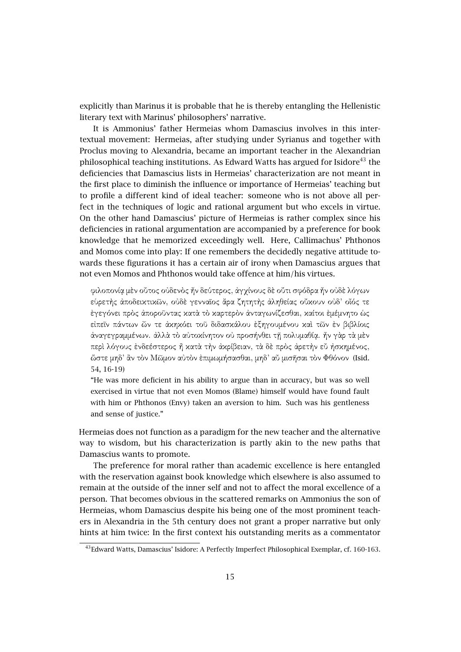explicitly than Marinus it is probable that he is thereby entangling the Hellenistic literary text with Marinus' philosophers' narrative.

It is Ammonius' father Hermeias whom Damascius involves in this intertextual movement: Hermeias, after studying under Syrianus and together with Proclus moving to Alexandria, became an important teacher in the Alexandrian philosophical teaching institutions. As Edward Watts has argued for Isidore<sup>43</sup> the deficiencies that Damascius lists in Hermeias' characterization are not meant in the first place to diminish the influence or importance of Hermeias' teaching but to profile a different kind of ideal teacher: someone who is not above all perfect in the techniques of logic and rational argument but who excels in virtue. On the other hand Damascius' picture of Hermeias is rather complex since his deficiencies in rational argumentation are accompanied by a preference for book knowledge that he memorized exceedingly well. Here, Callimachus' Phthonos and Momos come into play: If one remembers the decidedly negative attitude towards these figurations it has a certain air of irony when Damascius argues that not even Momos and Phthonos would take offence at him/his virtues.

φιλοπονίᾳ µὲν οὗτος οὐδενὸς ἦν δεύτερος, ἀγχίνους δὲ οὔτι σφόδρα ἦν οὐδὲ λόγων εὑρετὴς ἀποδεικτικῶν, οὐδὲ γενναῖος ἄρα ζητητὴς ἀληθείας οὔκουν οὐδ' οἷός τε ἐγεγόνει πρὸς ἀποροῦντας κατὰ τὸ καρτερὸν ἀνταγωνίζεσθαι, καίτοι ἐµέµνητο ὡς εἰπεῖν πάντων ὧν τε ἀκηκόει τοῦ διδασκάλου ἐξηγουµένου καὶ τῶν ἐν βιβλίοις ἀναγεγραµµένων. ἀλλὰ τὸ αὐτοκίνητον οὐ προσήνθει τῇ πολυµαθίᾳ. ἦν γὰρ τὰ µὲν περὶ λόγους ἐνδεέστερος ἢ κατὰ τὴν ἀκρίβειαν, τὰ δὲ πρὸς ἀρετὴν εὖ ἠσκηµένος, ὥστε µηδ' ἂν τὸν Μῶµον αὐτὸν ἐπιµωµήσασθαι, µηδ' αὖ µισῆσαι τὸν Φθόνον (Isid. 54, 16-19)

"He was more deficient in his ability to argue than in accuracy, but was so well exercised in virtue that not even Momos (Blame) himself would have found fault with him or Phthonos (Envy) taken an aversion to him. Such was his gentleness and sense of justice."

Hermeias does not function as a paradigm for the new teacher and the alternative way to wisdom, but his characterization is partly akin to the new paths that Damascius wants to promote.

The preference for moral rather than academic excellence is here entangled with the reservation against book knowledge which elsewhere is also assumed to remain at the outside of the inner self and not to affect the moral excellence of a person. That becomes obvious in the scattered remarks on Ammonius the son of Hermeias, whom Damascius despite his being one of the most prominent teachers in Alexandria in the 5th century does not grant a proper narrative but only hints at him twice: In the first context his outstanding merits as a commentator

<sup>43</sup>Edward Watts, Damascius' Isidore: A Perfectly Imperfect Philosophical Exemplar, cf. 160-163.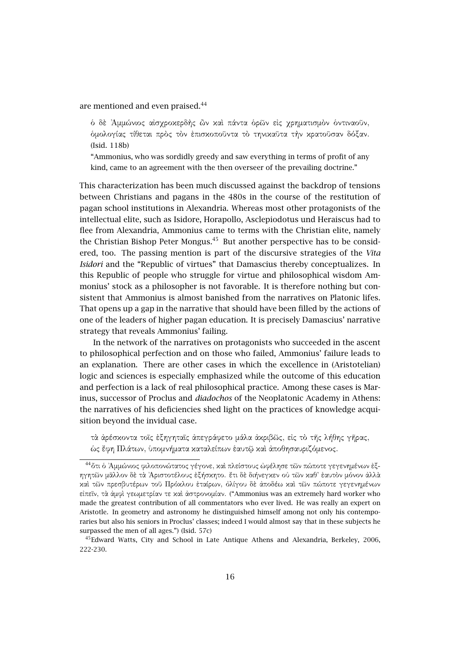are mentioned and even praised.<sup>44</sup>

δ δε Άμμώνιος αίσχροκερδής ὢν καὶ πάντα ὁρῶν εἰς χρηματισμὸν ὁντιναοῦν, ὁµολογίας τίθεται πρὸς τὸν ἐπισκοποῦντα τὸ τηνικαῦτα τὴν κρατοῦσαν δόξαν. (Isid. 118b)

"Ammonius, who was sordidly greedy and saw everything in terms of profit of any kind, came to an agreement with the then overseer of the prevailing doctrine."

This characterization has been much discussed against the backdrop of tensions between Christians and pagans in the 480s in the course of the restitution of pagan school institutions in Alexandria. Whereas most other protagonists of the intellectual elite, such as Isidore, Horapollo, Asclepiodotus und Heraiscus had to flee from Alexandria, Ammonius came to terms with the Christian elite, namely the Christian Bishop Peter Mongus. $45$  But another perspective has to be considered, too. The passing mention is part of the discursive strategies of the *Vita Isidori* and the "Republic of virtues" that Damascius thereby conceptualizes. In this Republic of people who struggle for virtue and philosophical wisdom Ammonius' stock as a philosopher is not favorable. It is therefore nothing but consistent that Ammonius is almost banished from the narratives on Platonic lifes. That opens up a gap in the narrative that should have been filled by the actions of one of the leaders of higher pagan education. It is precisely Damascius' narrative strategy that reveals Ammonius' failing.

In the network of the narratives on protagonists who succeeded in the ascent to philosophical perfection and on those who failed, Ammonius' failure leads to an explanation. There are other cases in which the excellence in (Aristotelian) logic and sciences is especially emphasized while the outcome of this education and perfection is a lack of real philosophical practice. Among these cases is Marinus, successor of Proclus and *diadochos* of the Neoplatonic Academy in Athens: the narratives of his deficiencies shed light on the practices of knowledge acquisition beyond the invidual case.

τὰ ἀρέσκοντα τοῖς ἐξηγηταῖς ἀπεγράφετο µάλα ἀκριβῶς, εἰς τὸ τῆς λήθης γῆρας, ὡς ἔφη Πλάτων, ὑποµνήµατα καταλείπων ἑαυτῷ καὶ ἀποθησαυριζόµενος.

<sup>&</sup>lt;sup>44</sup> δτι δ Άμμώνιος φιλοπονώτατος γέγονε, και πλείστους ώφέλησε τῶν πώποτε γεγενημένων έξηγητῶν µᾶλλον δὲ τὰ ᾿Αριστοτέλους ἐξήσκητο. ἔτι δὲ διήνεγκεν οὐ τῶν καθ' ἑαυτὸν µόνον ἀλλὰ καὶ τῶν πρεσβυτέρων τοῦ Πρόκλου ἑταίρων, ὀλίγου δὲ ἀποδέω καὶ τῶν πώποτε γεγενηµένων εἰπεῖν, τὰ ἀµφὶ γεωµετρίαν τε καὶ ἀστρονοµίαν. ("Ammonius was an extremely hard worker who made the greatest contribution of all commentators who ever lived. He was really an expert on Aristotle. In geometry and astronomy he distinguished himself among not only his contemporaries but also his seniors in Proclus' classes; indeed I would almost say that in these subjects he surpassed the men of all ages.") (Isid. 57c)

<sup>45</sup>Edward Watts, City and School in Late Antique Athens and Alexandria, Berkeley, 2006, 222-230.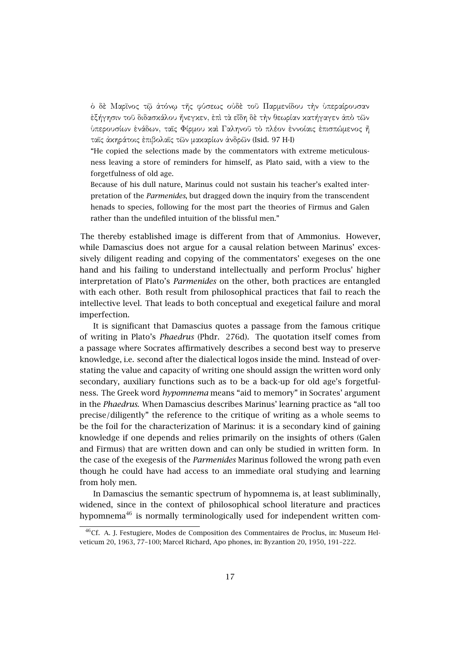ὁ δὲ Μαρῖνος τῷ ἀτόνῳ τῆς φύσεως οὐδὲ τοῦ Παρµενίδου τὴν ὑπεραίρουσαν ἐξήγησιν τοῦ διδασκάλου ἤνεγκεν, ἐπὶ τὰ εἴδη δὲ τὴν θεωρίαν κατήγαγεν ἀπὸ τῶν ὑπερουσίων ἑνάδων, ταῖς Φίρµου καὶ Γαληνοῦ τὸ πλέον ἐννοίαις ἐπισπώµενος ἢ ταῖς ἀκηράτοις ἐπιβολαῖς τῶν µακαρίων ἀνδρῶν (Isid. 97 H-I)

"He copied the selections made by the commentators with extreme meticulousness leaving a store of reminders for himself, as Plato said, with a view to the forgetfulness of old age.

Because of his dull nature, Marinus could not sustain his teacher's exalted interpretation of the *Parmenides*, but dragged down the inquiry from the transcendent henads to species, following for the most part the theories of Firmus and Galen rather than the undefiled intuition of the blissful men."

The thereby established image is different from that of Ammonius. However, while Damascius does not argue for a causal relation between Marinus' excessively diligent reading and copying of the commentators' exegeses on the one hand and his failing to understand intellectually and perform Proclus' higher interpretation of Plato's *Parmenides* on the other, both practices are entangled with each other. Both result from philosophical practices that fail to reach the intellective level. That leads to both conceptual and exegetical failure and moral imperfection.

It is significant that Damascius quotes a passage from the famous critique of writing in Plato's *Phaedrus* (Phdr. 276d). The quotation itself comes from a passage where Socrates affirmatively describes a second best way to preserve knowledge, i.e. second after the dialectical logos inside the mind. Instead of overstating the value and capacity of writing one should assign the written word only secondary, auxiliary functions such as to be a back-up for old age's forgetfulness. The Greek word *hypomnema* means "aid to memory" in Socrates' argument in the *Phaedrus*. When Damascius describes Marinus' learning practice as "all too precise/diligently" the reference to the critique of writing as a whole seems to be the foil for the characterization of Marinus: it is a secondary kind of gaining knowledge if one depends and relies primarily on the insights of others (Galen and Firmus) that are written down and can only be studied in written form. In the case of the exegesis of the *Parmenides* Marinus followed the wrong path even though he could have had access to an immediate oral studying and learning from holy men.

In Damascius the semantic spectrum of hypomnema is, at least subliminally, widened, since in the context of philosophical school literature and practices hypomnema<sup>46</sup> is normally terminologically used for independent written com-

<sup>&</sup>lt;sup>46</sup>Cf. A. J. Festugiere, Modes de Composition des Commentaires de Proclus, in: Museum Helveticum 20, 1963, 77–100; Marcel Richard, Apo phones, in: Byzantion 20, 1950, 191–222.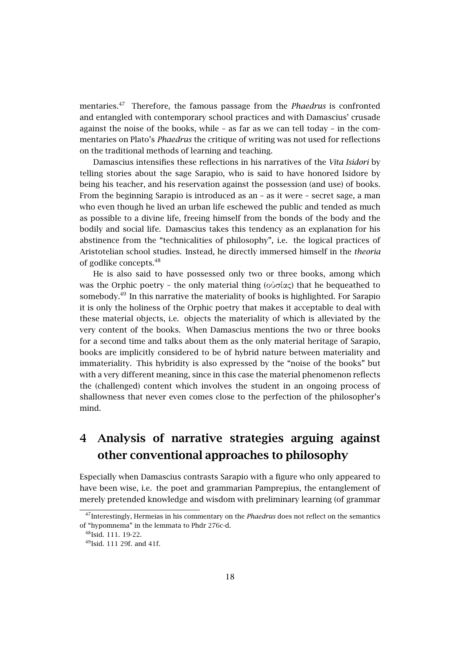mentaries.<sup>47</sup> Therefore, the famous passage from the *Phaedrus* is confronted and entangled with contemporary school practices and with Damascius' crusade against the noise of the books, while – as far as we can tell today – in the commentaries on Plato's *Phaedrus* the critique of writing was not used for reflections on the traditional methods of learning and teaching.

Damascius intensifies these reflections in his narratives of the *Vita Isidori* by telling stories about the sage Sarapio, who is said to have honored Isidore by being his teacher, and his reservation against the possession (and use) of books. From the beginning Sarapio is introduced as an – as it were – secret sage, a man who even though he lived an urban life eschewed the public and tended as much as possible to a divine life, freeing himself from the bonds of the body and the bodily and social life. Damascius takes this tendency as an explanation for his abstinence from the "technicalities of philosophy", i.e. the logical practices of Aristotelian school studies. Instead, he directly immersed himself in the *theoria* of godlike concepts.<sup>48</sup>

He is also said to have possessed only two or three books, among which was the Orphic poetry – the only material thing (οὐσίας) that he bequeathed to somebody.<sup>49</sup> In this narrative the materiality of books is highlighted. For Sarapio it is only the holiness of the Orphic poetry that makes it acceptable to deal with these material objects, i.e. objects the materiality of which is alleviated by the very content of the books. When Damascius mentions the two or three books for a second time and talks about them as the only material heritage of Sarapio, books are implicitly considered to be of hybrid nature between materiality and immateriality. This hybridity is also expressed by the "noise of the books" but with a very different meaning, since in this case the material phenomenon reflects the (challenged) content which involves the student in an ongoing process of shallowness that never even comes close to the perfection of the philosopher's mind.

# **4 Analysis of narrative strategies arguing against other conventional approaches to philosophy**

Especially when Damascius contrasts Sarapio with a figure who only appeared to have been wise, i.e. the poet and grammarian Pamprepius, the entanglement of merely pretended knowledge and wisdom with preliminary learning (of grammar

<sup>47</sup>Interestingly, Hermeias in his commentary on the *Phaedrus* does not reflect on the semantics of "hypomnema" in the lemmata to Phdr 276c-d.

<sup>48</sup>Isid. 111. 19-22.

 $49$ Isid. 111 29f. and 41f.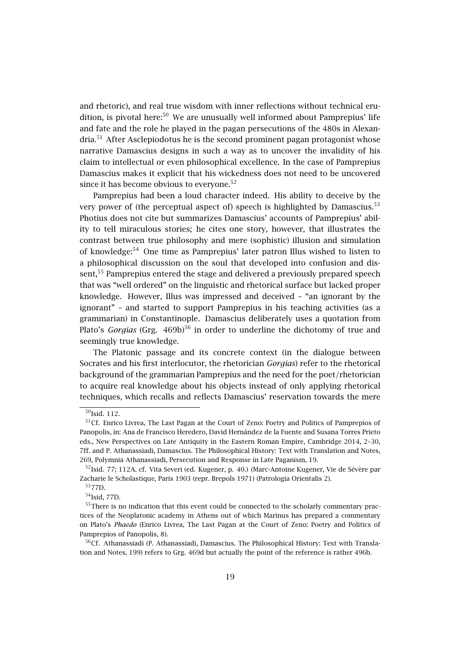and rhetoric), and real true wisdom with inner reflections without technical erudition, is pivotal here: $50$  We are unusually well informed about Pamprepius' life and fate and the role he played in the pagan persecutions of the 480s in Alexandria.<sup>51</sup> After Asclepiodotus he is the second prominent pagan protagonist whose narrative Damascius designs in such a way as to uncover the invalidity of his claim to intellectual or even philosophical excellence. In the case of Pamprepius Damascius makes it explicit that his wickedness does not need to be uncovered since it has become obvious to everyone.<sup>52</sup>

Pamprepius had been a loud character indeed. His ability to deceive by the very power of (the perceptual aspect of) speech is highlighted by Damascius.<sup>53</sup> Photius does not cite but summarizes Damascius' accounts of Pamprepius' ability to tell miraculous stories; he cites one story, however, that illustrates the contrast between true philosophy and mere (sophistic) illusion and simulation of knowledge:<sup>54</sup> One time as Pamprepius' later patron Illus wished to listen to a philosophical discussion on the soul that developed into confusion and dissent,<sup>55</sup> Pamprepius entered the stage and delivered a previously prepared speech that was "well ordered" on the linguistic and rhetorical surface but lacked proper knowledge. However, Illus was impressed and deceived – "an ignorant by the ignorant" – and started to support Pamprepius in his teaching activities (as a grammarian) in Constantinople. Damascius deliberately uses a quotation from Plato's *Gorgias* (Grg. 469b)<sup>56</sup> in order to underline the dichotomy of true and seemingly true knowledge.

The Platonic passage and its concrete context (in the dialogue between Socrates and his first interlocutor, the rhetorician *Gorgias*) refer to the rhetorical background of the grammarian Pamprepius and the need for the poet/rhetorician to acquire real knowledge about his objects instead of only applying rhetorical techniques, which recalls and reflects Damascius' reservation towards the mere

<sup>50</sup>Isid. 112.

<sup>51</sup>Cf. Enrico Livrea, The Last Pagan at the Court of Zeno: Poetry and Politics of Pamprepios of Panopolis, in: Ana de Francisco Heredero, David Hernández de la Fuente and Susana Torres Prieto eds., New Perspectives on Late Antiquity in the Eastern Roman Empire, Cambridge 2014, 2–30, 7ff. and P. Athanassiadi, Damascius. The Philosophical History: Text with Translation and Notes, 269, Polymnia Athanassiadi, Persecution and Response in Late Paganism, 19.

 $52$ Isid. 77; 112A. cf. Vita Severi (ed. Kugener, p. 40.) (Marc-Antoine Kugener, Vie de Sévère par Zacharie le Scholastique, Paris 1903 (repr. Brepols 1971) (Patrologia Orientalis 2).

<sup>53</sup>77D.

<sup>54</sup>Isid, 77D.

<sup>&</sup>lt;sup>55</sup>There is no indication that this event could be connected to the scholarly commentary practices of the Neoplatonic academy in Athens out of which Marinus has prepared a commentary on Plato's *Phaedo* (Enrico Livrea, The Last Pagan at the Court of Zeno: Poetry and Politics of Pamprepios of Panopolis, 8).

 $56$ Cf. Athanassiadi (P. Athanassiadi, Damascius. The Philosophical History: Text with Translation and Notes, 199) refers to Grg. 469d but actually the point of the reference is rather 496b.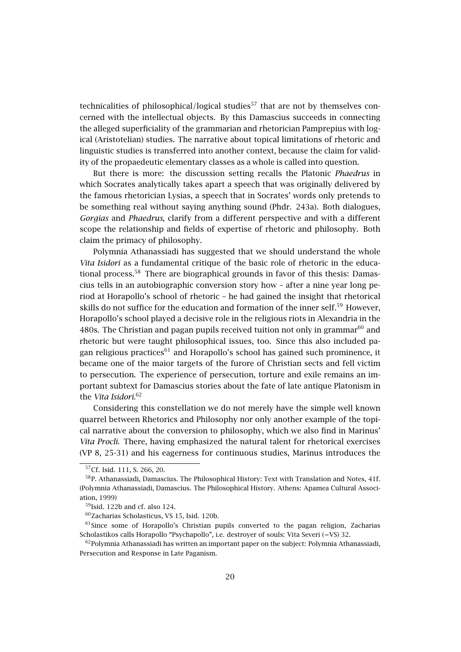technicalities of philosophical/logical studies<sup>57</sup> that are not by themselves concerned with the intellectual objects. By this Damascius succeeds in connecting the alleged superficiality of the grammarian and rhetorician Pamprepius with logical (Aristotelian) studies. The narrative about topical limitations of rhetoric and linguistic studies is transferred into another context, because the claim for validity of the propaedeutic elementary classes as a whole is called into question.

But there is more: the discussion setting recalls the Platonic *Phaedrus* in which Socrates analytically takes apart a speech that was originally delivered by the famous rhetorician Lysias, a speech that in Socrates' words only pretends to be something real without saying anything sound (Phdr. 243a). Both dialogues, *Gorgias* and *Phaedrus*, clarify from a different perspective and with a different scope the relationship and fields of expertise of rhetoric and philosophy. Both claim the primacy of philosophy.

Polymnia Athanassiadi has suggested that we should understand the whole *Vita Isidori* as a fundamental critique of the basic role of rhetoric in the educational process. $58$  There are biographical grounds in favor of this thesis: Damascius tells in an autobiographic conversion story how – after a nine year long period at Horapollo's school of rhetoric – he had gained the insight that rhetorical skills do not suffice for the education and formation of the inner self.<sup>59</sup> However, Horapollo's school played a decisive role in the religious riots in Alexandria in the 480s. The Christian and pagan pupils received tuition not only in grammar $^{60}$  and rhetoric but were taught philosophical issues, too. Since this also included pagan religious practices<sup>61</sup> and Horapollo's school has gained such prominence, it became one of the maior targets of the furore of Christian sects and fell victim to persecution. The experience of persecution, torture and exile remains an important subtext for Damascius stories about the fate of late antique Platonism in the *Vita Isidori*. 62

Considering this constellation we do not merely have the simple well known quarrel between Rhetorics and Philosophy nor only another example of the topical narrative about the conversion to philosophy, which we also find in Marinus' *Vita Procli*. There, having emphasized the natural talent for rhetorical exercises (VP 8, 25-31) and his eagerness for continuous studies, Marinus introduces the

 $\overline{57}$ Cf. Isid. 111, S. 266, 20.

<sup>58</sup>P. Athanassiadi, Damascius. The Philosophical History: Text with Translation and Notes, 41f. (Polymnia Athanassiadi, Damascius. The Philosophical History. Athens: Apamea Cultural Association, 1999)

 $59$ Isid. 122b and cf. also 124.

<sup>60</sup>Zacharias Scholasticus, VS 15, Isid. 120b.

 $61$ Since some of Horapollo's Christian pupils converted to the pagan religion, Zacharias Scholastikos calls Horapollo "Psychapollo", i.e. destroyer of souls: Vita Severi (=VS) 32.

 $62P$ olymnia Athanassiadi has written an important paper on the subject: Polymnia Athanassiadi, Persecution and Response in Late Paganism.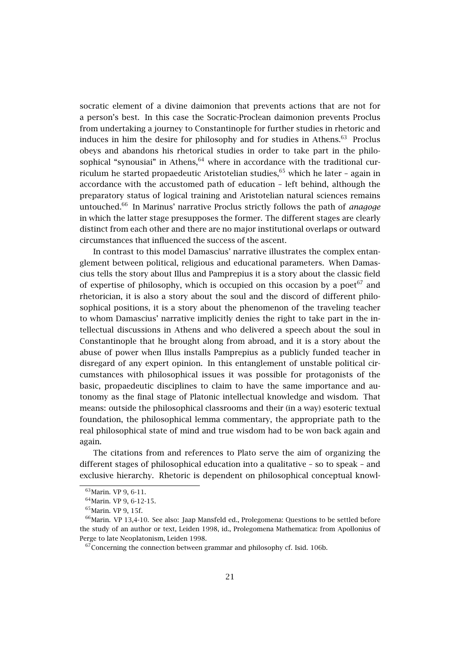socratic element of a divine daimonion that prevents actions that are not for a person's best. In this case the Socratic-Proclean daimonion prevents Proclus from undertaking a journey to Constantinople for further studies in rhetoric and induces in him the desire for philosophy and for studies in Athens. $63$  Proclus obeys and abandons his rhetorical studies in order to take part in the philosophical "synousiai" in Athens, $64$  where in accordance with the traditional curriculum he started propaedeutic Aristotelian studies,  $65$  which he later - again in accordance with the accustomed path of education – left behind, although the preparatory status of logical training and Aristotelian natural sciences remains untouched.<sup>66</sup> In Marinus' narrative Proclus strictly follows the path of *anagoge* in which the latter stage presupposes the former. The different stages are clearly distinct from each other and there are no major institutional overlaps or outward circumstances that influenced the success of the ascent.

In contrast to this model Damascius' narrative illustrates the complex entanglement between political, religious and educational parameters. When Damascius tells the story about Illus and Pamprepius it is a story about the classic field of expertise of philosophy, which is occupied on this occasion by a poet<sup> $67$ </sup> and rhetorician, it is also a story about the soul and the discord of different philosophical positions, it is a story about the phenomenon of the traveling teacher to whom Damascius' narrative implicitly denies the right to take part in the intellectual discussions in Athens and who delivered a speech about the soul in Constantinople that he brought along from abroad, and it is a story about the abuse of power when Illus installs Pamprepius as a publicly funded teacher in disregard of any expert opinion. In this entanglement of unstable political circumstances with philosophical issues it was possible for protagonists of the basic, propaedeutic disciplines to claim to have the same importance and autonomy as the final stage of Platonic intellectual knowledge and wisdom. That means: outside the philosophical classrooms and their (in a way) esoteric textual foundation, the philosophical lemma commentary, the appropriate path to the real philosophical state of mind and true wisdom had to be won back again and again.

The citations from and references to Plato serve the aim of organizing the different stages of philosophical education into a qualitative – so to speak – and exclusive hierarchy. Rhetoric is dependent on philosophical conceptual knowl-

<sup>63</sup>Marin. VP 9, 6-11.

<sup>&</sup>lt;sup>64</sup> Marin. VP 9, 6-12-15.

<sup>65</sup>Marin. VP 9, 15f.

 $66$ Marin. VP 13,4-10. See also: Jaap Mansfeld ed., Prolegomena: Questions to be settled before the study of an author or text, Leiden 1998, id., Prolegomena Mathematica: from Apollonius of Perge to late Neoplatonism, Leiden 1998.

 $67$ Concerning the connection between grammar and philosophy cf. Isid. 106b.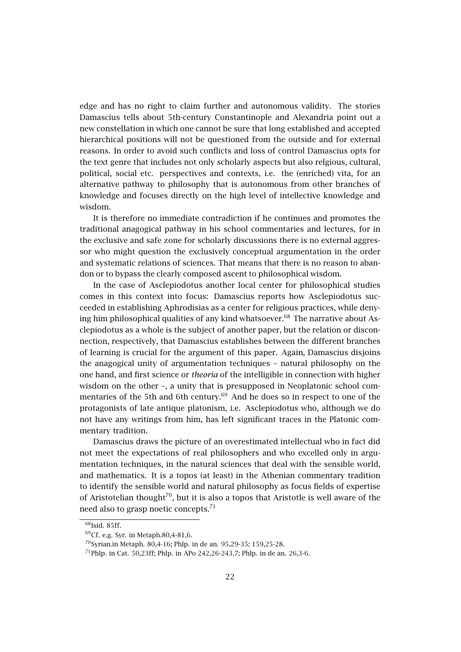edge and has no right to claim further and autonomous validity. The stories Damascius tells about 5th-century Constantinople and Alexandria point out a new constellation in which one cannot be sure that long established and accepted hierarchical positions will not be questioned from the outside and for external reasons. In order to avoid such conflicts and loss of control Damascius opts for the text genre that includes not only scholarly aspects but also relgious, cultural, political, social etc. perspectives and contexts, i.e. the (enriched) vita, for an alternative pathway to philosophy that is autonomous from other branches of knowledge and focuses directly on the high level of intellective knowledge and wisdom.

It is therefore no immediate contradiction if he continues and promotes the traditional anagogical pathway in his school commentaries and lectures, for in the exclusive and safe zone for scholarly discussions there is no external aggressor who might question the exclusively conceptual argumentation in the order and systematic relations of sciences. That means that there is no reason to abandon or to bypass the clearly composed ascent to philosophical wisdom.

In the case of Asclepiodotus another local center for philosophical studies comes in this context into focus: Damascius reports how Asclepiodotus succeeded in establishing Aphrodisias as a center for religious practices, while denying him philosophical qualities of any kind whatsoever. $68$  The narrative about Asclepiodotus as a whole is the subject of another paper, but the relation or disconnection, respectively, that Damascius establishes between the different branches of learning is crucial for the argument of this paper. Again, Damascius disjoins the anagogical unity of argumentation techniques – natural philosophy on the one hand, and first science or *theoria* of the intelligible in connection with higher wisdom on the other –, a unity that is presupposed in Neoplatonic school commentaries of the 5th and 6th century.<sup>69</sup> And he does so in respect to one of the protagonists of late antique platonism, i.e. Asclepiodotus who, although we do not have any writings from him, has left significant traces in the Platonic commentary tradition.

Damascius draws the picture of an overestimated intellectual who in fact did not meet the expectations of real philosophers and who excelled only in argumentation techniques, in the natural sciences that deal with the sensible world, and mathematics. It is a topos (at least) in the Athenian commentary tradition to identify the sensible world and natural philosophy as focus fields of expertise of Aristotelian thought<sup>70</sup>, but it is also a topos that Aristotle is well aware of the need also to grasp noetic concepts. $^{71}$ 

<sup>68</sup>Isid. 85ff.

<sup>69</sup>Cf. e.g. Syr. in Metaph.80,4-81,6.

<sup>70</sup>Syrian.in Metaph. 80,4-16; Phlp. in de an. 95,29-35; 159,25-28.

<sup>&</sup>lt;sup>71</sup>Phlp. in Cat. 50,23ff; Phlp. in APo 242,26-243,7; Phlp. in de an. 26,3-6.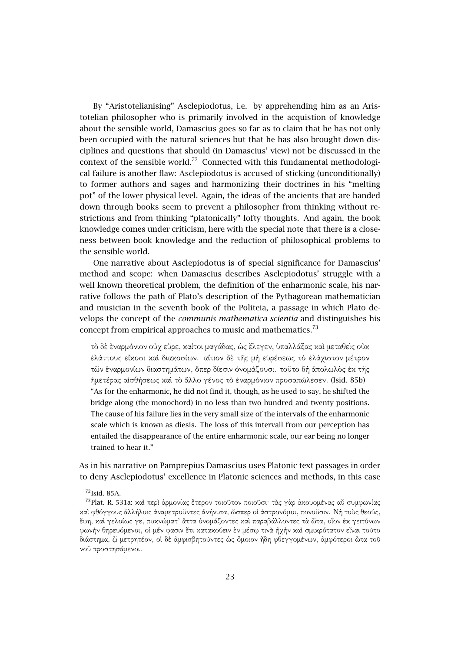By "Aristotelianising" Asclepiodotus, i.e. by apprehending him as an Aristotelian philosopher who is primarily involved in the acquistion of knowledge about the sensible world, Damascius goes so far as to claim that he has not only been occupied with the natural sciences but that he has also brought down disciplines and questions that should (in Damascius' view) not be discussed in the context of the sensible world.<sup>72</sup> Connected with this fundamental methodological failure is another flaw: Asclepiodotus is accused of sticking (unconditionally) to former authors and sages and harmonizing their doctrines in his "melting pot" of the lower physical level. Again, the ideas of the ancients that are handed down through books seem to prevent a philosopher from thinking without restrictions and from thinking "platonically" lofty thoughts. And again, the book knowledge comes under criticism, here with the special note that there is a closeness between book knowledge and the reduction of philosophical problems to the sensible world.

One narrative about Asclepiodotus is of special significance for Damascius' method and scope: when Damascius describes Asclepiodotus' struggle with a well known theoretical problem, the definition of the enharmonic scale, his narrative follows the path of Plato's description of the Pythagorean mathematician and musician in the seventh book of the Politeia, a passage in which Plato develops the concept of the *communis mathematica scientia* and distinguishes his concept from empirical approaches to music and mathematics.<sup>73</sup>

τὸ δὲ ἐναρµόνιον οὐχ εὗρε, καίτοι µαγάδας, ὡς ἔλεγεν, ὑπαλλάξας καὶ µεταθεὶς οὐκ ἐλάττους εἴκοσι καὶ διακοσίων. αἴτιον δὲ τῆς µὴ εὑρέσεως τὸ ἐλάχιστον µέτρον τῶν ἐναρµονίων διαστηµάτων, ὅπερ δίεσιν ὀνοµάζουσι. τοῦτο δὴ ἀπολωλὸς ἐκ τῆς ἡµετέρας αἰσθήσεως καὶ τὸ ἄλλο γένος τὸ ἐναρµόνιον προσαπώλεσεν. (Isid. 85b) "As for the enharmonic, he did not find it, though, as he used to say, he shifted the bridge along (the monochord) in no less than two hundred and twenty positions. The cause of his failure lies in the very small size of the intervals of the enharmonic scale which is known as diesis. The loss of this intervall from our perception has entailed the disappearance of the entire enharmonic scale, our ear being no longer trained to hear it."

As in his narrative on Pamprepius Damascius uses Platonic text passages in order to deny Asclepiodotus' excellence in Platonic sciences and methods, in this case

<sup>&</sup>lt;sup>72</sup>Isid. 85A.

<sup>73</sup>Plat. R. 531a: καὶ περὶ ἁρµονίας ἕτερον τοιοῦτον ποιοῦσι· τὰς γὰρ ἀκουοµένας αὖ συµφωνίας καὶ φθόγγους ἀλλήλοις ἀναµετροῦντες ἀνήνυτα, ὥσπερ οἱ ἀστρονόµοι, πονοῦσιν. Νὴ τοὺς θεούς, ἔφη, καὶ γελοίως γε, πυκνώµατ' ἄττα ὀνοµάζοντες καὶ παραβάλλοντες τὰ ὦτα, οἷον ἐκ γειτόνων φωνὴν θηρευόµενοι, οἱ µέν φασιν ἔτι κατακούειν ἐν µέσῳ τινὰ ἠχὴν καὶ σµικρότατον εἶναι τοῦτο διάστηµα, ᾧ µετρητέον, οἱ δὲ ἀµφισβητοῦντες ὡς ὅµοιον ἤδη φθεγγοµένων, ἀµφότεροι ὦτα τοῦ νοῦ προστησάµενοι.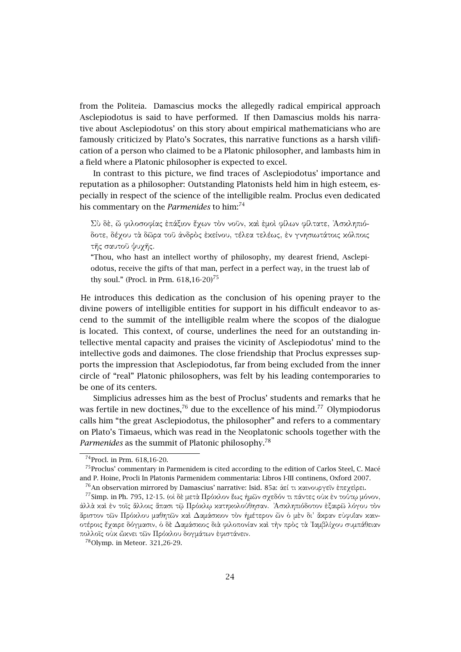from the Politeia. Damascius mocks the allegedly radical empirical approach Asclepiodotus is said to have performed. If then Damascius molds his narrative about Asclepiodotus' on this story about empirical mathematicians who are famously criticized by Plato's Socrates, this narrative functions as a harsh vilification of a person who claimed to be a Platonic philosopher, and lambasts him in a field where a Platonic philosopher is expected to excel.

In contrast to this picture, we find traces of Asclepiodotus' importance and reputation as a philosopher: Outstanding Platonists held him in high esteem, especially in respect of the science of the intelligible realm. Proclus even dedicated his commentary on the *Parmenides* to him:<sup>74</sup>

Σὺ δὲ, ὦ φιλοσοφίας ἐπάξιον ἔχων τὸν νοῦν, καὶ ἐµοὶ φίλων φίλτατε, ᾿Ασκληπιόδοτε, δέχου τὰ δῶρα τοῦ ἀνδρὸς ἐκείνου, τέλεα τελέως, ἐν γνησιωτάτοις κόλποις τῆς σαυτοῦ ψυχῆς.

"Thou, who hast an intellect worthy of philosophy, my dearest friend, Asclepiodotus, receive the gifts of that man, perfect in a perfect way, in the truest lab of thy soul." (Procl. in Prm.  $618,16-20$ )<sup>75</sup>

He introduces this dedication as the conclusion of his opening prayer to the divine powers of intelligible entities for support in his difficult endeavor to ascend to the summit of the intelligible realm where the scopos of the dialogue is located. This context, of course, underlines the need for an outstanding intellective mental capacity and praises the vicinity of Asclepiodotus' mind to the intellective gods and daimones. The close friendship that Proclus expresses supports the impression that Asclepiodotus, far from being excluded from the inner circle of "real" Platonic philosophers, was felt by his leading contemporaries to be one of its centers.

Simplicius adresses him as the best of Proclus' students and remarks that he was fertile in new doctines, $76$  due to the excellence of his mind. $77$  Olympiodorus calls him "the great Asclepiodotus, the philosopher" and refers to a commentary on Plato's Timaeus, which was read in the Neoplatonic schools together with the *Parmenides* as the summit of Platonic philosophy.<sup>78</sup>

<sup>74</sup>Procl. in Prm. 618,16-20.

<sup>&</sup>lt;sup>75</sup> Proclus' commentary in Parmenidem is cited according to the edition of Carlos Steel, C. Macé and P. Hoine, Procli In Platonis Parmenidem commentaria: Libros I-III continens, Oxford 2007.

<sup>76</sup>An observation mirrored by Damascius' narrative: Isid. 85a: ἀεί τι καινουργεῖν ἐπεχεὶρει.

<sup>77</sup>Simp. in Ph. 795, 12-15. (οἱ δὲ µετὰ Πρόκλον ἕως ἡµῶν σχεδόν τι πάντες οὐκ ἐν τούτῳ µόνον, ἀλλὰ καὶ ἐν τοῖς ἄλλοις ἅπασι τῷ Πρόκλῳ κατηκολούθησαν. ᾿Ασκληπιόδοτον ἐξαιρῶ λόγου τὸν ἄριστον τῶν Πρόκλου µαθητῶν καὶ ∆αµάσκιον τὸν ἡµέτερον ὧν ὁ µὲν δι' ἄκραν εὐφυΐαν καινοτέροις ἔχαιρε δόγµασιν, ὁ δὲ ∆αµάσκιος διὰ φιλοπονίαν καὶ τὴν πρὸς τὰ ᾿Ιαµβλίχου συµπάθειαν πολλοῖς οὐκ ὤκνει τῶν Πρόκλου δογµάτων ἐφιστάνειν.

 $^{78}$ Olymp. in Meteor. 321,26-29.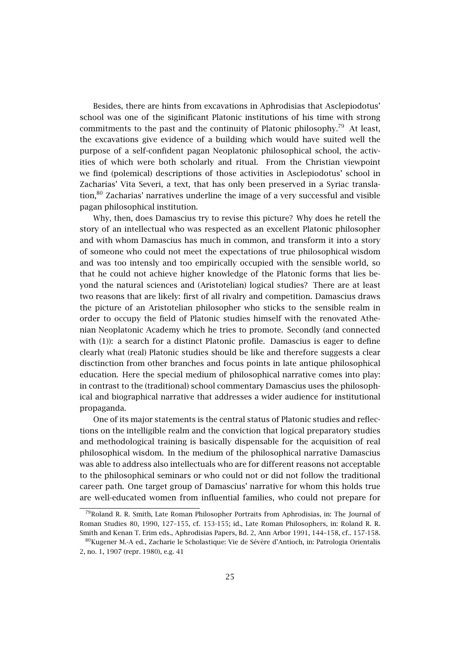Besides, there are hints from excavations in Aphrodisias that Asclepiodotus' school was one of the siginificant Platonic institutions of his time with strong commitments to the past and the continuity of Platonic philosophy.<sup>79</sup> At least, the excavations give evidence of a building which would have suited well the purpose of a self-confident pagan Neoplatonic philosophical school, the activities of which were both scholarly and ritual. From the Christian viewpoint we find (polemical) descriptions of those activities in Asclepiodotus' school in Zacharias' Vita Severi, a text, that has only been preserved in a Syriac translation,<sup>80</sup> Zacharias' narratives underline the image of a very successful and visible pagan philosophical institution.

Why, then, does Damascius try to revise this picture? Why does he retell the story of an intellectual who was respected as an excellent Platonic philosopher and with whom Damascius has much in common, and transform it into a story of someone who could not meet the expectations of true philosophical wisdom and was too intensly and too empirically occupied with the sensible world, so that he could not achieve higher knowledge of the Platonic forms that lies beyond the natural sciences and (Aristotelian) logical studies? There are at least two reasons that are likely: first of all rivalry and competition. Damascius draws the picture of an Aristotelian philosopher who sticks to the sensible realm in order to occupy the field of Platonic studies himself with the renovated Athenian Neoplatonic Academy which he tries to promote. Secondly (and connected with (1)): a search for a distinct Platonic profile. Damascius is eager to define clearly what (real) Platonic studies should be like and therefore suggests a clear disctinction from other branches and focus points in late antique philosophical education. Here the special medium of philosophical narrative comes into play: in contrast to the (traditional) school commentary Damascius uses the philosophical and biographical narrative that addresses a wider audience for institutional propaganda.

One of its major statements is the central status of Platonic studies and reflections on the intelligible realm and the conviction that logical preparatory studies and methodological training is basically dispensable for the acquisition of real philosophical wisdom. In the medium of the philosophical narrative Damascius was able to address also intellectuals who are for different reasons not acceptable to the philosophical seminars or who could not or did not follow the traditional career path. One target group of Damascius' narrative for whom this holds true are well-educated women from influential families, who could not prepare for

<sup>79</sup>Roland R. R. Smith, Late Roman Philosopher Portraits from Aphrodisias, in: The Journal of Roman Studies 80, 1990, 127–155, cf. 153-155; id., Late Roman Philosophers, in: Roland R. R. Smith and Kenan T. Erim eds., Aphrodisias Papers, Bd. 2, Ann Arbor 1991, 144–158, cf.. 157-158.

 $80$ Kugener M.-A ed., Zacharie le Scholastique: Vie de Sévère d'Antioch, in: Patrologia Orientalis 2, no. 1, 1907 (repr. 1980), e.g. 41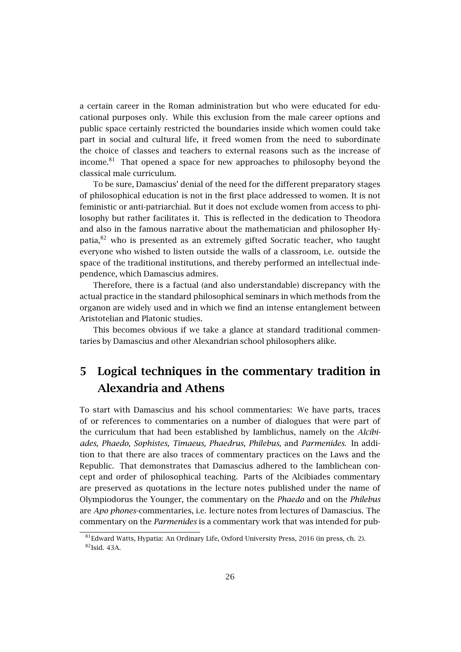a certain career in the Roman administration but who were educated for educational purposes only. While this exclusion from the male career options and public space certainly restricted the boundaries inside which women could take part in social and cultural life, it freed women from the need to subordinate the choice of classes and teachers to external reasons such as the increase of income.<sup>81</sup> That opened a space for new approaches to philosophy beyond the classical male curriculum.

To be sure, Damascius' denial of the need for the different preparatory stages of philosophical education is not in the first place addressed to women. It is not feministic or anti-patriarchial. But it does not exclude women from access to philosophy but rather facilitates it. This is reflected in the dedication to Theodora and also in the famous narrative about the mathematician and philosopher Hypatia,<sup>82</sup> who is presented as an extremely gifted Socratic teacher, who taught everyone who wished to listen outside the walls of a classroom, i.e. outside the space of the traditional institutions, and thereby performed an intellectual independence, which Damascius admires.

Therefore, there is a factual (and also understandable) discrepancy with the actual practice in the standard philosophical seminars in which methods from the organon are widely used and in which we find an intense entanglement between Aristotelian and Platonic studies.

This becomes obvious if we take a glance at standard traditional commentaries by Damascius and other Alexandrian school philosophers alike.

## **5 Logical techniques in the commentary tradition in Alexandria and Athens**

To start with Damascius and his school commentaries: We have parts, traces of or references to commentaries on a number of dialogues that were part of the curriculum that had been established by Iamblichus, namely on the *Alcibiades, Phaedo, Sophistes, Timaeus, Phaedrus, Philebus*, and *Parmenides*. In addition to that there are also traces of commentary practices on the Laws and the Republic. That demonstrates that Damascius adhered to the Iamblichean concept and order of philosophical teaching. Parts of the Alcibiades commentary are preserved as quotations in the lecture notes published under the name of Olympiodorus the Younger, the commentary on the *Phaedo* and on the *Philebus* are *Apo phones*-commentaries, i.e. lecture notes from lectures of Damascius. The commentary on the *Parmenides* is a commentary work that was intended for pub-

<sup>81</sup>Edward Watts, Hypatia: An Ordinary Life, Oxford University Press, 2016 (in press, ch. 2). <sup>82</sup>Isid. 43A.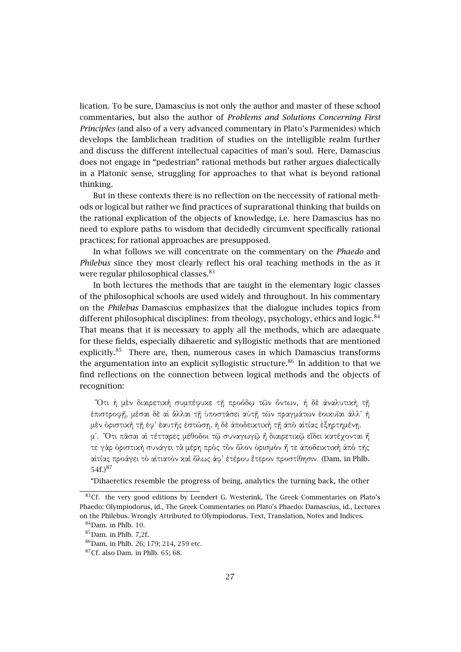lication. To be sure, Damascius is not only the author and master of these school commentaries, but also the author of *Problems and Solutions Concerning First Principles* (and also of a very advanced commentary in Plato's Parmenides) which develops the Iamblichean tradition of studies on the intelligible realm further and discuss the different intellectual capacities of man's soul. Here, Damascius does not engage in "pedestrian" rational methods but rather argues dialectically in a Platonic sense, struggling for approaches to that what is beyond rational thinking.

But in these contexts there is no reflection on the neccessity of rational methods or logical but rather we find practices of suprarational thinking that builds on the rational explication of the objects of knowledge, i.e. here Damascius has no need to explore paths to wisdom that decidedly circumvent specifically rational practices; for rational approaches are presupposed.

In what follows we will concentrate on the commentary on the *Phaedo* and *Philebus* since they most clearly reflect his oral teaching methods in the as it were regular philosophical classes.<sup>83</sup>

In both lectures the methods that are taught in the elementary logic classes of the philosophical schools are used widely and throughout. In his commentary on the *Philebus* Damascius emphasizes that the dialogue includes topics from different philosophical disciplines: from theology, psychology, ethics and logic. $84$ That means that it is necessary to apply all the methods, which are adaequate for these fields, especially dihaeretic and syllogistic methods that are mentioned explicitly.<sup>85</sup> There are, then, numerous cases in which Damascius transforms the argumentation into an explicit syllogistic structure.<sup>86</sup> In addition to that we find reflections on the connection between logical methods and the objects of recognition:

῞Οτι ἡ µὲν διαιρετικὴ συµπέφυκε τῇ προόδῳ τῶν ὄντων, ἡ δὲ ἀναλυτικὴ τῇ ἐπιστροφῇ, µέσαι δὲ αἱ ἄλλαι τῇ ὑποστάσει αὐτῇ τῶν πραγµάτων ἐοικυῖαι ἀλλ' ἡ µὲν ὁριστικὴ τῇ ἐφ' ἑαυτῆς ἑστώσῃ, ἡ δὲ ἀποδεικτικὴ τῇ ἀπὸ αἰτίας ἐξηρτηµένῃ. µʹ. ῞Οτι πᾶσαι αἱ τέτταρες µέθοδοι τῷ συναγωγῷ ἢ διαιρετικῷ εἴδει κατέχονται ἥ

τε γὰρ ὁριστικὴ συνάγει τὰ µέρη πρὸς τὸν ὅλον ὁρισµὸν ἥ τε ἀποδεικτικὴ ἀπὸ τῆς αἰτίας προάγει τὸ αἰτιατὸν καὶ ὅλως ἀφ' ἑτέρου ἕτερον προστίθησιν. (Dam. in Phlb. 54f.)<sup>87</sup>

"Dihaeretics resemble the progress of being, analytics the turning back, the other

<sup>&</sup>lt;sup>83</sup>Cf. the very good editions by Leendert G. Westerink, The Greek Commentaries on Plato's Phaedo: Olympiodorus, id., The Greek Commentaries on Plato's Phaedo: Damascius, id., Lectures on the Philebus. Wrongly Attributed to Olympiodorus. Text, Translation, Notes and Indices.

 $84$ Dam. in Phlb. 10.

 $85$ Dam. in Phlb. 7,2f.

<sup>86</sup>Dam. in Phlb. 26; 179; 214, 259 etc.

 $87$ Cf. also Dam. in Phlb. 65; 68.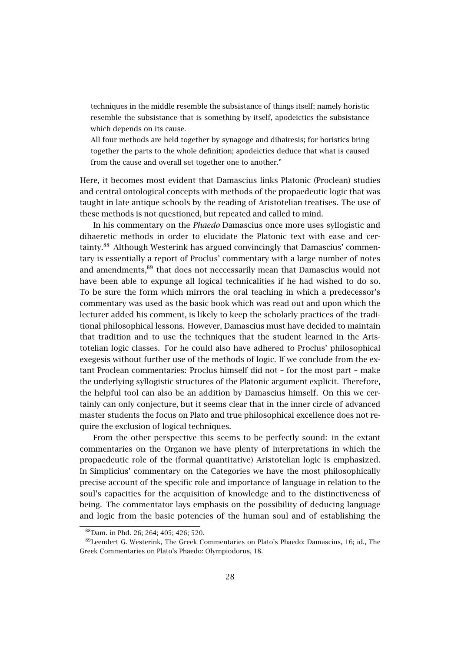techniques in the middle resemble the subsistance of things itself; namely horistic resemble the subsistance that is something by itself, apodeictics the subsistance which depends on its cause.

All four methods are held together by synagoge and dihairesis; for horistics bring together the parts to the whole definition; apodeictics deduce that what is caused from the cause and overall set together one to another."

Here, it becomes most evident that Damascius links Platonic (Proclean) studies and central ontological concepts with methods of the propaedeutic logic that was taught in late antique schools by the reading of Aristotelian treatises. The use of these methods is not questioned, but repeated and called to mind.

In his commentary on the *Phaedo* Damascius once more uses syllogistic and dihaeretic methods in order to elucidate the Platonic text with ease and certainty.<sup>88</sup> Although Westerink has argued convincingly that Damascius' commentary is essentially a report of Proclus' commentary with a large number of notes and amendments,<sup>89</sup> that does not neccessarily mean that Damascius would not have been able to expunge all logical technicalities if he had wished to do so. To be sure the form which mirrors the oral teaching in which a predecessor's commentary was used as the basic book which was read out and upon which the lecturer added his comment, is likely to keep the scholarly practices of the traditional philosophical lessons. However, Damascius must have decided to maintain that tradition and to use the techniques that the student learned in the Aristotelian logic classes. For he could also have adhered to Proclus' philosophical exegesis without further use of the methods of logic. If we conclude from the extant Proclean commentaries: Proclus himself did not – for the most part – make the underlying syllogistic structures of the Platonic argument explicit. Therefore, the helpful tool can also be an addition by Damascius himself. On this we certainly can only conjecture, but it seems clear that in the inner circle of advanced master students the focus on Plato and true philosophical excellence does not require the exclusion of logical techniques.

From the other perspective this seems to be perfectly sound: in the extant commentaries on the Organon we have plenty of interpretations in which the propaedeutic role of the (formal quantitative) Aristotelian logic is emphasized. In Simplicius' commentary on the Categories we have the most philosophically precise account of the specific role and importance of language in relation to the soul's capacities for the acquisition of knowledge and to the distinctiveness of being. The commentator lays emphasis on the possibility of deducing language and logic from the basic potencies of the human soul and of establishing the

<sup>88</sup>Dam. in Phd. 26; 264; 405; 426; 520.

<sup>89</sup>Leendert G. Westerink, The Greek Commentaries on Plato's Phaedo: Damascius, 16; id., The Greek Commentaries on Plato's Phaedo: Olympiodorus, 18.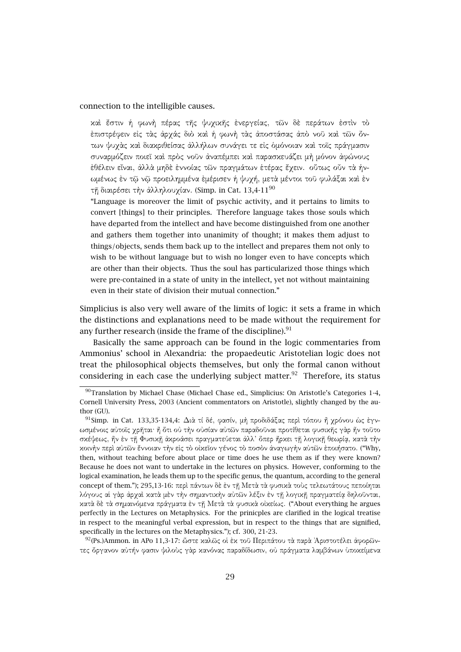#### connection to the intelligible causes.

καὶ ἔστιν ἡ φωνὴ πέρας τῆς ψυχικῆς ἐνεργείας, τῶν δὲ περάτων ἐστὶν τὸ ἐπιστρέφειν εἰς τὰς ἀρχάς διὸ καὶ ἡ φωνὴ τὰς ἀποστάσας ἀπὸ νοῦ καὶ τῶν ὄντων ψυχὰς καὶ διακριθείσας ἀλλήλων συνάγει τε εἰς ὁµόνοιαν καὶ τοῖς πράγµασιν συναρµόζειν ποιεῖ καὶ πρὸς νοῦν ἀναπέµπει καὶ παρασκευάζει µὴ µόνον ἀφώνους ἐθέλειν εἶναι, ἀλλὰ µηδὲ ἐννοίας τῶν πραγµάτων ἑτέρας ἔχειν. οὕτως οὖν τὰ ἡνωµένως ἐν τῷ νῷ προειληµµένα ἐµέρισεν ἡ ψυχή, µετὰ µέντοι τοῦ φυλάξαι καὶ ἐν τη διαιρέσει την άλληλουχίαν. (Simp. in Cat. 13,4-11<sup>90</sup>

"Language is moreover the limit of psychic activity, and it pertains to limits to convert [things] to their principles. Therefore language takes those souls which have departed from the intellect and have become distinguished from one another and gathers them together into unanimity of thought; it makes them adjust to things/objects, sends them back up to the intellect and prepares them not only to wish to be without language but to wish no longer even to have concepts which are other than their objects. Thus the soul has particularized those things which were pre-contained in a state of unity in the intellect, yet not without maintaining even in their state of division their mutual connection."

Simplicius is also very well aware of the limits of logic: it sets a frame in which the distinctions and explanations need to be made without the requirement for any further research (inside the frame of the discipline). $91$ 

Basically the same approach can be found in the logic commentaries from Ammonius' school in Alexandria: the propaedeutic Aristotelian logic does not treat the philosophical objects themselves, but only the formal canon without considering in each case the underlying subject matter. $92$  Therefore, its status

92 (Ps.)Ammon. in APo 11,3-17: ὥστε καλῶς οἱ ἐκ τοῦ Περιπάτου τὰ παρὰ Ἀριστοτέλει ἀφορῶντες ὄργανον αὐτήν φασιν ψιλοὺς γὰρ κανόνας παραδίδωσιν, οὐ πράγµατα λαµβάνων ὑποκείµενα

<sup>90</sup>Translation by Michael Chase (Michael Chase ed., Simplicius: On Aristotle's Categories 1-4, Cornell University Press, 2003 (Ancient commentators on Aristotle), slightly changed by the author (GU).

<sup>91</sup>Simp. in Cat. 133,35-134,4: ∆ιὰ τί δέ, φασίν, µὴ προδιδάξας περὶ τόπου ἢ χρόνου ὡς ἐγνωσµένοις αὐτοῖς χρῆται· ἢ ὅτι οὐ τὴν οὐσίαν αὐτῶν παραδοῦναι προτίθεται φυσικῆς γὰρ ἦν τοῦτο σκέψεως, ἣν ἐν τῇ Φυσικῇ ἀκροάσει πραγµατεύεται ἀλλ' ὅπερ ἤρκει τῇ λογικῇ θεωρίᾳ, κατὰ τὴν κοινὴν περὶ αὐτῶν ἔννοιαν τὴν εἰς τὸ οἰκεῖον γένος τὸ ποσὸν ἀναγωγὴν αὐτῶν ἐποιήσατο. ("Why, then, without teaching before about place or time does he use them as if they were known? Because he does not want to undertake in the lectures on physics. However, conforming to the logical examination, he leads them up to the specific genus, the quantum, according to the general concept of them."); 295,13-16: περὶ πάντων δὲ ἐν τῇ Μετὰ τὰ φυσικὰ τοὺς τελεωτάτους πεποίηται λόγους αἱ γὰρ ἀρχαὶ κατὰ µὲν τὴν σηµαντικὴν αὐτῶν λέξιν ἐν τῇ λογικῇ πραγµατείᾳ δηλοῦνται, κατὰ δὲ τὰ σηµαινόµενα πράγµατα ἐν τῇ Μετὰ τὰ φυσικὰ οἰκείως. ("About everything he argues perfectly in the Lectures on Metaphysics. For the prinicples are clarified in the logical treatise in respect to the meaningful verbal expression, but in respect to the things that are signified, specifically in the lectures on the Metaphysics."); cf. 300, 21-23.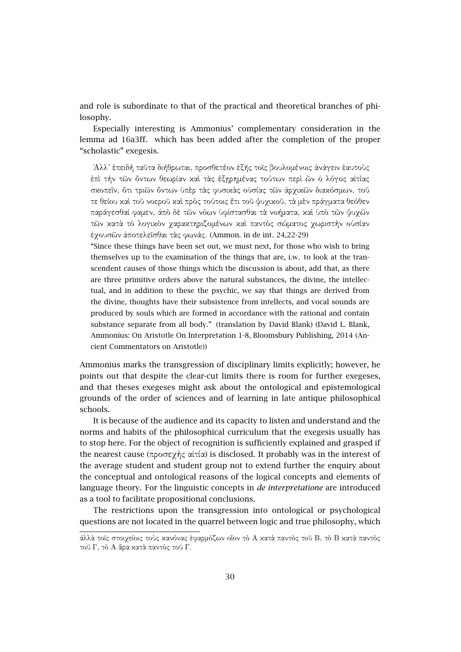and role is subordinate to that of the practical and theoretical branches of philosophy.

Especially interesting is Ammonius' complementary consideration in the lemma ad 16a3ff. which has been added after the completion of the proper "scholastic" exegesis.

᾿Αλλ' ἐπειδὴ ταῦτα διήθρωται, προσθετέον ἑξῆς τοῖς βουλοµένοις ἀνάγειν ἑαυτοὺς ἐπὶ τὴν τῶν ὄντων θεωρίαν καὶ τὰς ἐξῃρηµένας τούτων περὶ ὧν ὁ λόγος αἰτίας σκοπεῖν, ὅτι τριῶν ὄντων ὑπὲρ τὰς φυσικὰς οὐσίας τῶν ἀρχικῶν διακόσµων, τοῦ τε θείου καὶ τοῦ νοεροῦ καὶ πρὸς τούτοις ἔτι τοῦ ψυχικοῦ, τὰ µὲν πράγµατα θεόθεν παράγεσθαί φαµεν, ἀπὸ δὲ τῶν νόων ὑφίστασθαι τὰ νοήµατα, καὶ ὑπὸ τῶν ψυχῶν τῶν κατὰ τὸ λογικὸν χαρακτηριζοµένων καὶ παντὸς σώµατος χωριστὴν οὐσίαν ἐχουσῶν ἀποτελεῖσθαι τὰς φωνάς. (Ammon. in de int. 24,22-29)

"Since these things have been set out, we must next, for those who wish to bring themselves up to the examination of the things that are, i.w. to look at the transcendent causes of those things which the discussion is about, add that, as there are three primitive orders above the natural substances, the divine, the intellectual, and in addition to these the psychic, we say that things are derived from the divine, thoughts have their subsistence from intellects, and vocal sounds are produced by souls which are formed in accordance with the rational and contain substance separate from all body." (translation by David Blank) (David L. Blank, Ammonius: On Aristotle On Interpretation 1-8, Bloomsbury Publishing, 2014 (Ancient Commentators on Aristotle))

Ammonius marks the transgression of disciplinary limits explicitly; however, he points out that despite the clear-cut limits there is room for further exegeses, and that theses exegeses might ask about the ontological and epistemological grounds of the order of sciences and of learning in late antique philosophical schools.

It is because of the audience and its capacity to listen and understand and the norms and habits of the philosophical curriculum that the exegesis usually has to stop here. For the object of recognition is sufficiently explained and grasped if the nearest cause (προσεχὴς αἰτία) is disclosed. It probably was in the interest of the average student and student group not to extend further the enquiry about the conceptual and ontological reasons of the logical concepts and elements of language theory. For the linguistic concepts in *de interpretatione* are introduced as a tool to facilitate propositional conclusions.

The restrictions upon the transgression into ontological or psychological questions are not located in the quarrel between logic and true philosophy, which

ἀλλὰ τοῖς στοιχείοις τοὺς κανόνας ἐφαρµόζων οἷον τὸ Α κατὰ παντὸς τοῦ Β, τὸ Β κατὰ παντὸς τοῦ Γ, τὸ Α ἄρα κατὰ παντὸς τοῦ Γ.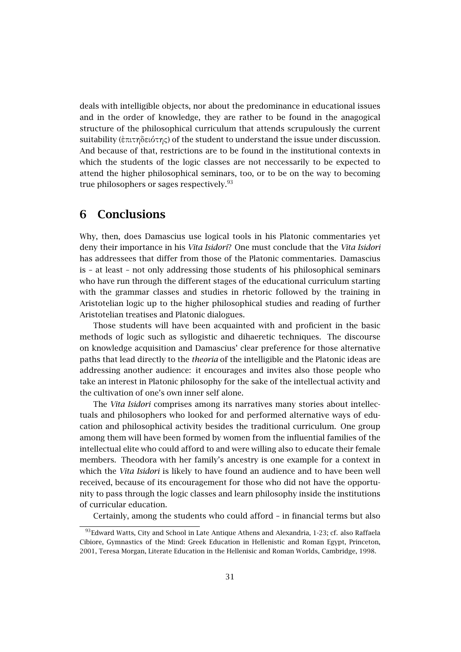deals with intelligible objects, nor about the predominance in educational issues and in the order of knowledge, they are rather to be found in the anagogical structure of the philosophical curriculum that attends scrupulously the current suitability (ἐπιτηδειότης) of the student to understand the issue under discussion. And because of that, restrictions are to be found in the institutional contexts in which the students of the logic classes are not neccessarily to be expected to attend the higher philosophical seminars, too, or to be on the way to becoming true philosophers or sages respectively.<sup>93</sup>

### **6 Conclusions**

Why, then, does Damascius use logical tools in his Platonic commentaries yet deny their importance in his *Vita Isidori*? One must conclude that the *Vita Isidori* has addressees that differ from those of the Platonic commentaries. Damascius is – at least – not only addressing those students of his philosophical seminars who have run through the different stages of the educational curriculum starting with the grammar classes and studies in rhetoric followed by the training in Aristotelian logic up to the higher philosophical studies and reading of further Aristotelian treatises and Platonic dialogues.

Those students will have been acquainted with and proficient in the basic methods of logic such as syllogistic and dihaeretic techniques. The discourse on knowledge acquisition and Damascius' clear preference for those alternative paths that lead directly to the *theoria* of the intelligible and the Platonic ideas are addressing another audience: it encourages and invites also those people who take an interest in Platonic philosophy for the sake of the intellectual activity and the cultivation of one's own inner self alone.

The *Vita Isidori* comprises among its narratives many stories about intellectuals and philosophers who looked for and performed alternative ways of education and philosophical activity besides the traditional curriculum. One group among them will have been formed by women from the influential families of the intellectual elite who could afford to and were willing also to educate their female members. Theodora with her family's ancestry is one example for a context in which the *Vita Isidori* is likely to have found an audience and to have been well received, because of its encouragement for those who did not have the opportunity to pass through the logic classes and learn philosophy inside the institutions of curricular education.

Certainly, among the students who could afford – in financial terms but also

<sup>93</sup> Edward Watts, City and School in Late Antique Athens and Alexandria, 1-23; cf. also Raffaela Cibiore, Gymnastics of the Mind: Greek Education in Hellenistic and Roman Egypt, Princeton, 2001, Teresa Morgan, Literate Education in the Hellenisic and Roman Worlds, Cambridge, 1998.